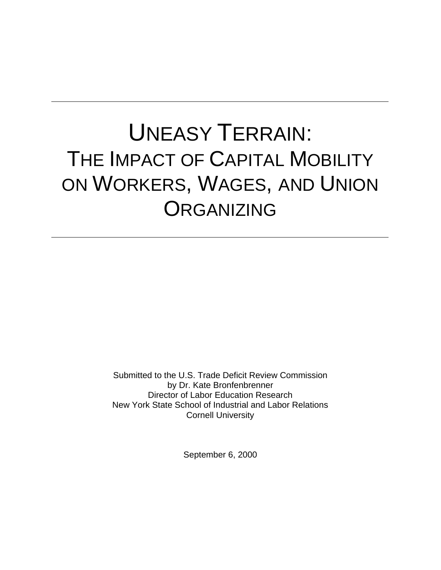# UNEASY TERRAIN: THE IMPACT OF CAPITAL MOBILITY ON WORKERS, WAGES, AND UNION **ORGANIZING**

Submitted to the U.S. Trade Deficit Review Commission by Dr. Kate Bronfenbrenner Director of Labor Education Research New York State School of Industrial and Labor Relations Cornell University

September 6, 2000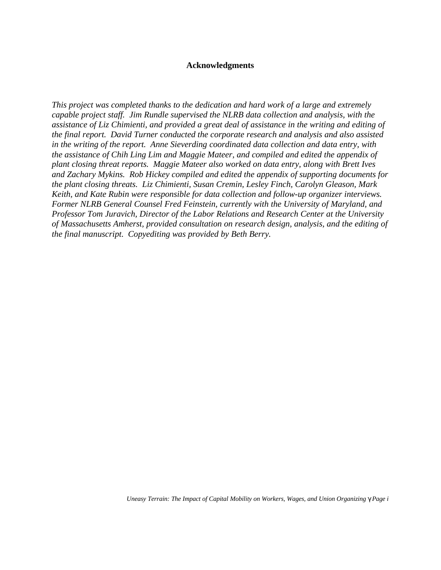## **Acknowledgments**

*This project was completed thanks to the dedication and hard work of a large and extremely capable project staff. Jim Rundle supervised the NLRB data collection and analysis, with the assistance of Liz Chimienti, and provided a great deal of assistance in the writing and editing of the final report. David Turner conducted the corporate research and analysis and also assisted in the writing of the report. Anne Sieverding coordinated data collection and data entry, with the assistance of Chih Ling Lim and Maggie Mateer, and compiled and edited the appendix of plant closing threat reports. Maggie Mateer also worked on data entry, along with Brett Ives and Zachary Mykins. Rob Hickey compiled and edited the appendix of supporting documents for the plant closing threats. Liz Chimienti, Susan Cremin, Lesley Finch, Carolyn Gleason, Mark Keith, and Kate Rubin were responsible for data collection and follow-up organizer interviews. Former NLRB General Counsel Fred Feinstein, currently with the University of Maryland, and Professor Tom Juravich, Director of the Labor Relations and Research Center at the University of Massachusetts Amherst, provided consultation on research design, analysis, and the editing of the final manuscript. Copyediting was provided by Beth Berry.*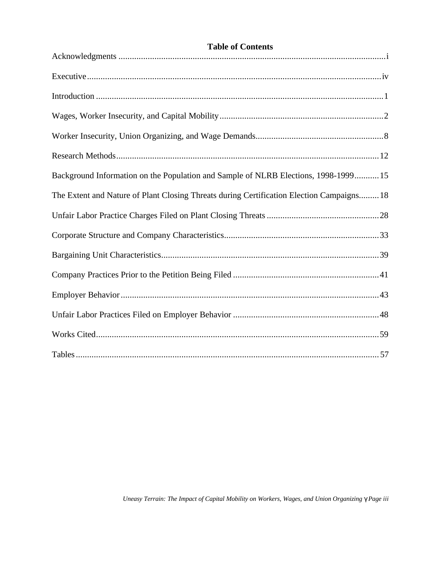| <b>Table of Contents</b>                                                                  |
|-------------------------------------------------------------------------------------------|
|                                                                                           |
|                                                                                           |
|                                                                                           |
|                                                                                           |
|                                                                                           |
|                                                                                           |
| Background Information on the Population and Sample of NLRB Elections, 1998-1999 15       |
| The Extent and Nature of Plant Closing Threats during Certification Election Campaigns 18 |
|                                                                                           |
|                                                                                           |
|                                                                                           |
|                                                                                           |
|                                                                                           |
|                                                                                           |
|                                                                                           |
|                                                                                           |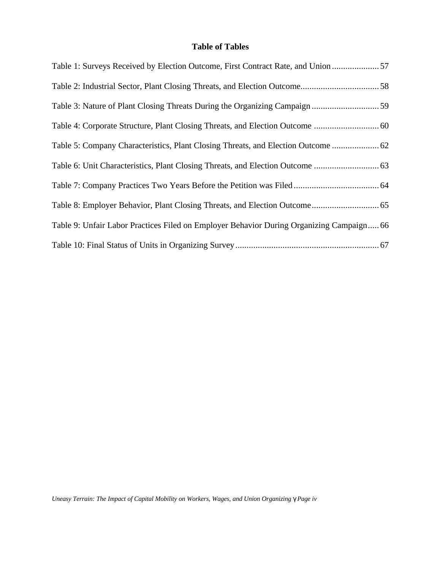# **Table of Tables**

| Table 1: Surveys Received by Election Outcome, First Contract Rate, and Union  57        |
|------------------------------------------------------------------------------------------|
|                                                                                          |
|                                                                                          |
|                                                                                          |
| Table 5: Company Characteristics, Plant Closing Threats, and Election Outcome  62        |
|                                                                                          |
|                                                                                          |
|                                                                                          |
| Table 9: Unfair Labor Practices Filed on Employer Behavior During Organizing Campaign 66 |
|                                                                                          |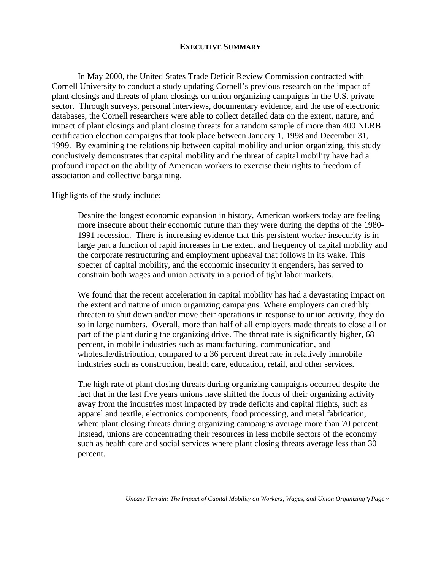### **EXECUTIVE SUMMARY**

In May 2000, the United States Trade Deficit Review Commission contracted with Cornell University to conduct a study updating Cornell's previous research on the impact of plant closings and threats of plant closings on union organizing campaigns in the U.S. private sector. Through surveys, personal interviews, documentary evidence, and the use of electronic databases, the Cornell researchers were able to collect detailed data on the extent, nature, and impact of plant closings and plant closing threats for a random sample of more than 400 NLRB certification election campaigns that took place between January 1, 1998 and December 31, 1999. By examining the relationship between capital mobility and union organizing, this study conclusively demonstrates that capital mobility and the threat of capital mobility have had a profound impact on the ability of American workers to exercise their rights to freedom of association and collective bargaining.

Highlights of the study include:

Despite the longest economic expansion in history, American workers today are feeling more insecure about their economic future than they were during the depths of the 1980- 1991 recession. There is increasing evidence that this persistent worker insecurity is in large part a function of rapid increases in the extent and frequency of capital mobility and the corporate restructuring and employment upheaval that follows in its wake. This specter of capital mobility, and the economic insecurity it engenders, has served to constrain both wages and union activity in a period of tight labor markets.

We found that the recent acceleration in capital mobility has had a devastating impact on the extent and nature of union organizing campaigns. Where employers can credibly threaten to shut down and/or move their operations in response to union activity, they do so in large numbers. Overall, more than half of all employers made threats to close all or part of the plant during the organizing drive. The threat rate is significantly higher, 68 percent, in mobile industries such as manufacturing, communication, and wholesale/distribution, compared to a 36 percent threat rate in relatively immobile industries such as construction, health care, education, retail, and other services.

The high rate of plant closing threats during organizing campaigns occurred despite the fact that in the last five years unions have shifted the focus of their organizing activity away from the industries most impacted by trade deficits and capital flights, such as apparel and textile, electronics components, food processing, and metal fabrication, where plant closing threats during organizing campaigns average more than 70 percent. Instead, unions are concentrating their resources in less mobile sectors of the economy such as health care and social services where plant closing threats average less than 30 percent.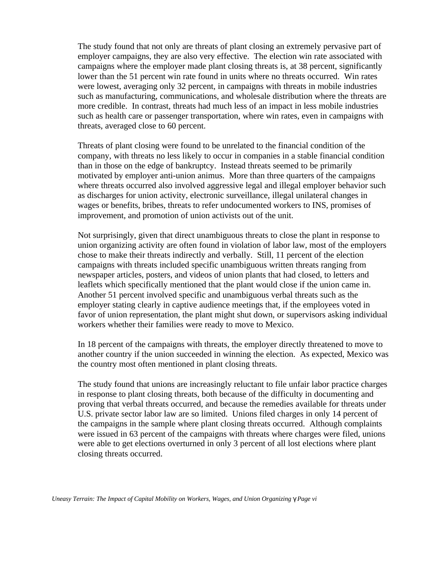The study found that not only are threats of plant closing an extremely pervasive part of employer campaigns, they are also very effective. The election win rate associated with campaigns where the employer made plant closing threats is, at 38 percent, significantly lower than the 51 percent win rate found in units where no threats occurred. Win rates were lowest, averaging only 32 percent, in campaigns with threats in mobile industries such as manufacturing, communications, and wholesale distribution where the threats are more credible. In contrast, threats had much less of an impact in less mobile industries such as health care or passenger transportation, where win rates, even in campaigns with threats, averaged close to 60 percent.

Threats of plant closing were found to be unrelated to the financial condition of the company, with threats no less likely to occur in companies in a stable financial condition than in those on the edge of bankruptcy. Instead threats seemed to be primarily motivated by employer anti-union animus. More than three quarters of the campaigns where threats occurred also involved aggressive legal and illegal employer behavior such as discharges for union activity, electronic surveillance, illegal unilateral changes in wages or benefits, bribes, threats to refer undocumented workers to INS, promises of improvement, and promotion of union activists out of the unit.

Not surprisingly, given that direct unambiguous threats to close the plant in response to union organizing activity are often found in violation of labor law, most of the employers chose to make their threats indirectly and verbally. Still, 11 percent of the election campaigns with threats included specific unambiguous written threats ranging from newspaper articles, posters, and videos of union plants that had closed, to letters and leaflets which specifically mentioned that the plant would close if the union came in. Another 51 percent involved specific and unambiguous verbal threats such as the employer stating clearly in captive audience meetings that, if the employees voted in favor of union representation, the plant might shut down, or supervisors asking individual workers whether their families were ready to move to Mexico.

In 18 percent of the campaigns with threats, the employer directly threatened to move to another country if the union succeeded in winning the election. As expected, Mexico was the country most often mentioned in plant closing threats.

The study found that unions are increasingly reluctant to file unfair labor practice charges in response to plant closing threats, both because of the difficulty in documenting and proving that verbal threats occurred, and because the remedies available for threats under U.S. private sector labor law are so limited. Unions filed charges in only 14 percent of the campaigns in the sample where plant closing threats occurred. Although complaints were issued in 63 percent of the campaigns with threats where charges were filed, unions were able to get elections overturned in only 3 percent of all lost elections where plant closing threats occurred.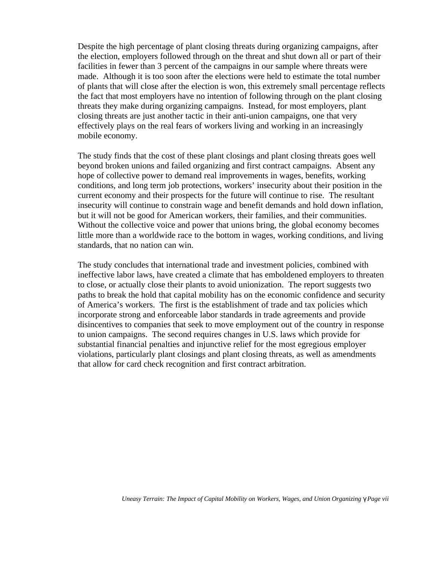Despite the high percentage of plant closing threats during organizing campaigns, after the election, employers followed through on the threat and shut down all or part of their facilities in fewer than 3 percent of the campaigns in our sample where threats were made. Although it is too soon after the elections were held to estimate the total number of plants that will close after the election is won, this extremely small percentage reflects the fact that most employers have no intention of following through on the plant closing threats they make during organizing campaigns. Instead, for most employers, plant closing threats are just another tactic in their anti-union campaigns, one that very effectively plays on the real fears of workers living and working in an increasingly mobile economy.

The study finds that the cost of these plant closings and plant closing threats goes well beyond broken unions and failed organizing and first contract campaigns. Absent any hope of collective power to demand real improvements in wages, benefits, working conditions, and long term job protections, workers' insecurity about their position in the current economy and their prospects for the future will continue to rise. The resultant insecurity will continue to constrain wage and benefit demands and hold down inflation, but it will not be good for American workers, their families, and their communities. Without the collective voice and power that unions bring, the global economy becomes little more than a worldwide race to the bottom in wages, working conditions, and living standards, that no nation can win.

The study concludes that international trade and investment policies, combined with ineffective labor laws, have created a climate that has emboldened employers to threaten to close, or actually close their plants to avoid unionization. The report suggests two paths to break the hold that capital mobility has on the economic confidence and security of America's workers. The first is the establishment of trade and tax policies which incorporate strong and enforceable labor standards in trade agreements and provide disincentives to companies that seek to move employment out of the country in response to union campaigns. The second requires changes in U.S. laws which provide for substantial financial penalties and injunctive relief for the most egregious employer violations, particularly plant closings and plant closing threats, as well as amendments that allow for card check recognition and first contract arbitration.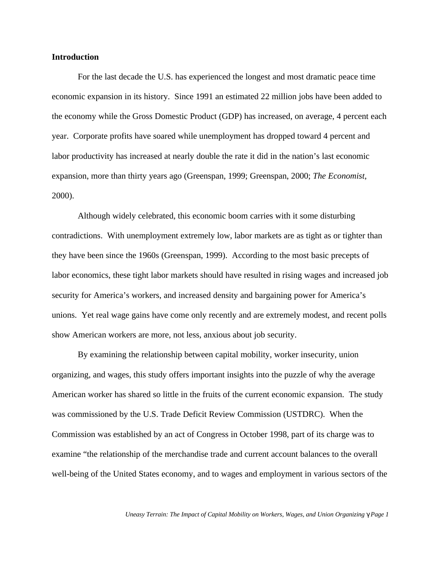### **Introduction**

For the last decade the U.S. has experienced the longest and most dramatic peace time economic expansion in its history. Since 1991 an estimated 22 million jobs have been added to the economy while the Gross Domestic Product (GDP) has increased, on average, 4 percent each year. Corporate profits have soared while unemployment has dropped toward 4 percent and labor productivity has increased at nearly double the rate it did in the nation's last economic expansion, more than thirty years ago (Greenspan, 1999; Greenspan, 2000; *The Economist*, 2000).

Although widely celebrated, this economic boom carries with it some disturbing contradictions. With unemployment extremely low, labor markets are as tight as or tighter than they have been since the 1960s (Greenspan, 1999). According to the most basic precepts of labor economics, these tight labor markets should have resulted in rising wages and increased job security for America's workers, and increased density and bargaining power for America's unions. Yet real wage gains have come only recently and are extremely modest, and recent polls show American workers are more, not less, anxious about job security.

By examining the relationship between capital mobility, worker insecurity, union organizing, and wages, this study offers important insights into the puzzle of why the average American worker has shared so little in the fruits of the current economic expansion. The study was commissioned by the U.S. Trade Deficit Review Commission (USTDRC). When the Commission was established by an act of Congress in October 1998, part of its charge was to examine "the relationship of the merchandise trade and current account balances to the overall well-being of the United States economy, and to wages and employment in various sectors of the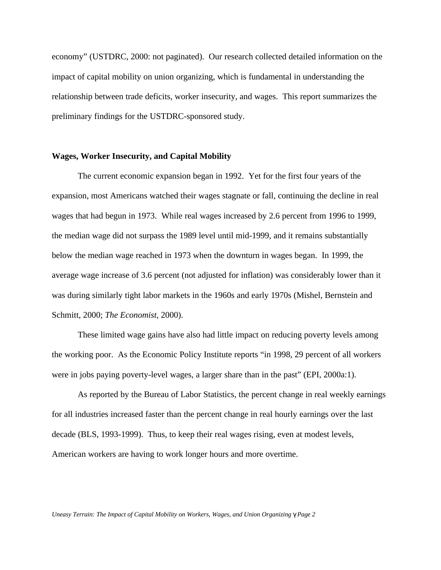economy" (USTDRC, 2000: not paginated). Our research collected detailed information on the impact of capital mobility on union organizing, which is fundamental in understanding the relationship between trade deficits, worker insecurity, and wages. This report summarizes the preliminary findings for the USTDRC-sponsored study.

#### **Wages, Worker Insecurity, and Capital Mobility**

The current economic expansion began in 1992. Yet for the first four years of the expansion, most Americans watched their wages stagnate or fall, continuing the decline in real wages that had begun in 1973. While real wages increased by 2.6 percent from 1996 to 1999, the median wage did not surpass the 1989 level until mid-1999, and it remains substantially below the median wage reached in 1973 when the downturn in wages began. In 1999, the average wage increase of 3.6 percent (not adjusted for inflation) was considerably lower than it was during similarly tight labor markets in the 1960s and early 1970s (Mishel, Bernstein and Schmitt, 2000; *The Economist*, 2000).

These limited wage gains have also had little impact on reducing poverty levels among the working poor. As the Economic Policy Institute reports "in 1998, 29 percent of all workers were in jobs paying poverty-level wages, a larger share than in the past" (EPI, 2000a:1).

As reported by the Bureau of Labor Statistics, the percent change in real weekly earnings for all industries increased faster than the percent change in real hourly earnings over the last decade (BLS, 1993-1999). Thus, to keep their real wages rising, even at modest levels, American workers are having to work longer hours and more overtime.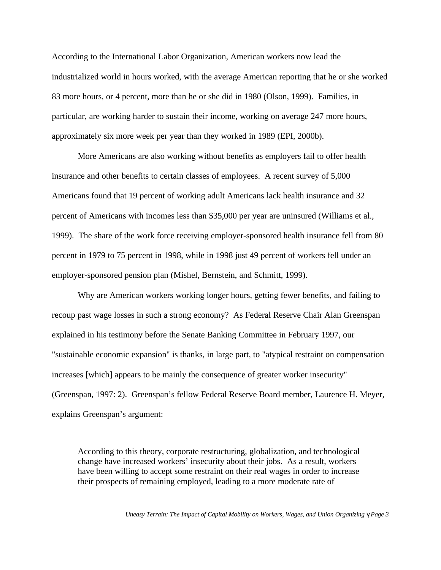According to the International Labor Organization, American workers now lead the industrialized world in hours worked, with the average American reporting that he or she worked 83 more hours, or 4 percent, more than he or she did in 1980 (Olson, 1999). Families, in particular, are working harder to sustain their income, working on average 247 more hours, approximately six more week per year than they worked in 1989 (EPI, 2000b).

More Americans are also working without benefits as employers fail to offer health insurance and other benefits to certain classes of employees. A recent survey of 5,000 Americans found that 19 percent of working adult Americans lack health insurance and 32 percent of Americans with incomes less than \$35,000 per year are uninsured (Williams et al., 1999). The share of the work force receiving employer-sponsored health insurance fell from 80 percent in 1979 to 75 percent in 1998, while in 1998 just 49 percent of workers fell under an employer-sponsored pension plan (Mishel, Bernstein, and Schmitt, 1999).

Why are American workers working longer hours, getting fewer benefits, and failing to recoup past wage losses in such a strong economy? As Federal Reserve Chair Alan Greenspan explained in his testimony before the Senate Banking Committee in February 1997, our "sustainable economic expansion" is thanks, in large part, to "atypical restraint on compensation increases [which] appears to be mainly the consequence of greater worker insecurity" (Greenspan, 1997: 2). Greenspan's fellow Federal Reserve Board member, Laurence H. Meyer, explains Greenspan's argument:

According to this theory, corporate restructuring, globalization, and technological change have increased workers' insecurity about their jobs. As a result, workers have been willing to accept some restraint on their real wages in order to increase their prospects of remaining employed, leading to a more moderate rate of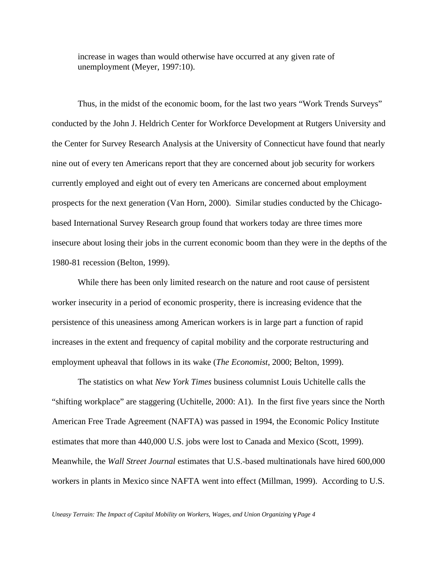increase in wages than would otherwise have occurred at any given rate of unemployment (Meyer, 1997:10).

Thus, in the midst of the economic boom, for the last two years "Work Trends Surveys" conducted by the John J. Heldrich Center for Workforce Development at Rutgers University and the Center for Survey Research Analysis at the University of Connecticut have found that nearly nine out of every ten Americans report that they are concerned about job security for workers currently employed and eight out of every ten Americans are concerned about employment prospects for the next generation (Van Horn, 2000). Similar studies conducted by the Chicagobased International Survey Research group found that workers today are three times more insecure about losing their jobs in the current economic boom than they were in the depths of the 1980-81 recession (Belton, 1999).

While there has been only limited research on the nature and root cause of persistent worker insecurity in a period of economic prosperity, there is increasing evidence that the persistence of this uneasiness among American workers is in large part a function of rapid increases in the extent and frequency of capital mobility and the corporate restructuring and employment upheaval that follows in its wake (*The Economist*, 2000; Belton, 1999).

The statistics on what *New York Times* business columnist Louis Uchitelle calls the "shifting workplace" are staggering (Uchitelle, 2000: A1). In the first five years since the North American Free Trade Agreement (NAFTA) was passed in 1994, the Economic Policy Institute estimates that more than 440,000 U.S. jobs were lost to Canada and Mexico (Scott, 1999). Meanwhile, the *Wall Street Journal* estimates that U.S.-based multinationals have hired 600,000 workers in plants in Mexico since NAFTA went into effect (Millman, 1999). According to U.S.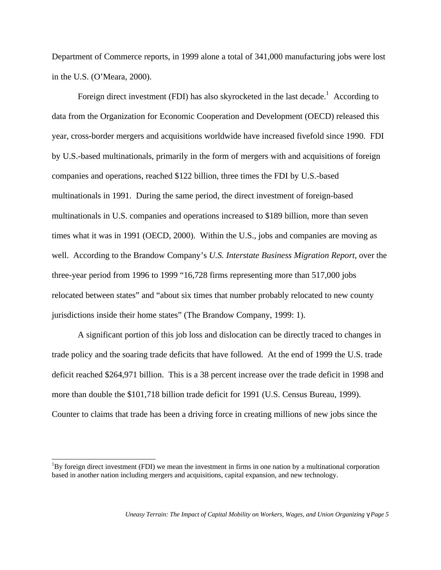Department of Commerce reports, in 1999 alone a total of 341,000 manufacturing jobs were lost in the U.S. (O'Meara, 2000).

Foreign direct investment (FDI) has also skyrocketed in the last decade.<sup>1</sup> According to data from the Organization for Economic Cooperation and Development (OECD) released this year, cross-border mergers and acquisitions worldwide have increased fivefold since 1990. FDI by U.S.-based multinationals, primarily in the form of mergers with and acquisitions of foreign companies and operations, reached \$122 billion, three times the FDI by U.S.-based multinationals in 1991. During the same period, the direct investment of foreign-based multinationals in U.S. companies and operations increased to \$189 billion, more than seven times what it was in 1991 (OECD, 2000). Within the U.S., jobs and companies are moving as well. According to the Brandow Company's *U.S. Interstate Business Migration Report*, over the three-year period from 1996 to 1999 "16,728 firms representing more than 517,000 jobs relocated between states" and "about six times that number probably relocated to new county jurisdictions inside their home states" (The Brandow Company, 1999: 1).

A significant portion of this job loss and dislocation can be directly traced to changes in trade policy and the soaring trade deficits that have followed. At the end of 1999 the U.S. trade deficit reached \$264,971 billion. This is a 38 percent increase over the trade deficit in 1998 and more than double the \$101,718 billion trade deficit for 1991 (U.S. Census Bureau, 1999). Counter to claims that trade has been a driving force in creating millions of new jobs since the

 $\overline{a}$ 

 ${}^{1}$ By foreign direct investment (FDI) we mean the investment in firms in one nation by a multinational corporation based in another nation including mergers and acquisitions, capital expansion, and new technology.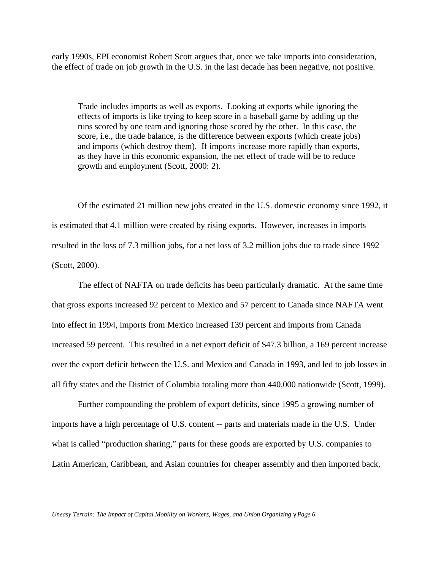early 1990s, EPI economist Robert Scott argues that, once we take imports into consideration, the effect of trade on job growth in the U.S. in the last decade has been negative, not positive.

Trade includes imports as well as exports. Looking at exports while ignoring the effects of imports is like trying to keep score in a baseball game by adding up the runs scored by one team and ignoring those scored by the other. In this case, the score, i.e., the trade balance, is the difference between exports (which create jobs) and imports (which destroy them). If imports increase more rapidly than exports, as they have in this economic expansion, the net effect of trade will be to reduce growth and employment (Scott, 2000: 2).

Of the estimated 21 million new jobs created in the U.S. domestic economy since 1992, it is estimated that 4.1 million were created by rising exports. However, increases in imports resulted in the loss of 7.3 million jobs, for a net loss of 3.2 million jobs due to trade since 1992 (Scott, 2000).

The effect of NAFTA on trade deficits has been particularly dramatic. At the same time that gross exports increased 92 percent to Mexico and 57 percent to Canada since NAFTA went into effect in 1994, imports from Mexico increased 139 percent and imports from Canada increased 59 percent. This resulted in a net export deficit of \$47.3 billion, a 169 percent increase over the export deficit between the U.S. and Mexico and Canada in 1993, and led to job losses in all fifty states and the District of Columbia totaling more than 440,000 nationwide (Scott, 1999).

Further compounding the problem of export deficits, since 1995 a growing number of imports have a high percentage of U.S. content -- parts and materials made in the U.S. Under what is called "production sharing," parts for these goods are exported by U.S. companies to Latin American, Caribbean, and Asian countries for cheaper assembly and then imported back,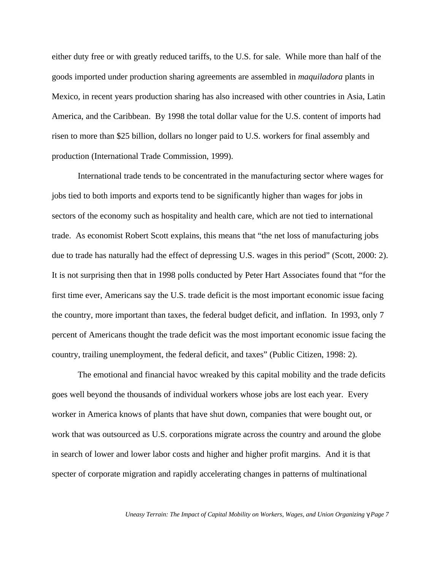either duty free or with greatly reduced tariffs, to the U.S. for sale. While more than half of the goods imported under production sharing agreements are assembled in *maquiladora* plants in Mexico, in recent years production sharing has also increased with other countries in Asia, Latin America, and the Caribbean. By 1998 the total dollar value for the U.S. content of imports had risen to more than \$25 billion, dollars no longer paid to U.S. workers for final assembly and production (International Trade Commission, 1999).

International trade tends to be concentrated in the manufacturing sector where wages for jobs tied to both imports and exports tend to be significantly higher than wages for jobs in sectors of the economy such as hospitality and health care, which are not tied to international trade. As economist Robert Scott explains, this means that "the net loss of manufacturing jobs due to trade has naturally had the effect of depressing U.S. wages in this period" (Scott, 2000: 2). It is not surprising then that in 1998 polls conducted by Peter Hart Associates found that "for the first time ever, Americans say the U.S. trade deficit is the most important economic issue facing the country, more important than taxes, the federal budget deficit, and inflation. In 1993, only 7 percent of Americans thought the trade deficit was the most important economic issue facing the country, trailing unemployment, the federal deficit, and taxes" (Public Citizen, 1998: 2).

The emotional and financial havoc wreaked by this capital mobility and the trade deficits goes well beyond the thousands of individual workers whose jobs are lost each year. Every worker in America knows of plants that have shut down, companies that were bought out, or work that was outsourced as U.S. corporations migrate across the country and around the globe in search of lower and lower labor costs and higher and higher profit margins. And it is that specter of corporate migration and rapidly accelerating changes in patterns of multinational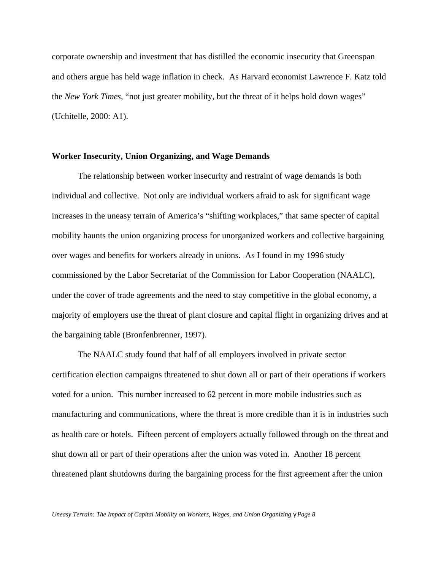corporate ownership and investment that has distilled the economic insecurity that Greenspan and others argue has held wage inflation in check. As Harvard economist Lawrence F. Katz told the *New York Times*, "not just greater mobility, but the threat of it helps hold down wages" (Uchitelle, 2000: A1).

#### **Worker Insecurity, Union Organizing, and Wage Demands**

The relationship between worker insecurity and restraint of wage demands is both individual and collective. Not only are individual workers afraid to ask for significant wage increases in the uneasy terrain of America's "shifting workplaces," that same specter of capital mobility haunts the union organizing process for unorganized workers and collective bargaining over wages and benefits for workers already in unions. As I found in my 1996 study commissioned by the Labor Secretariat of the Commission for Labor Cooperation (NAALC), under the cover of trade agreements and the need to stay competitive in the global economy, a majority of employers use the threat of plant closure and capital flight in organizing drives and at the bargaining table (Bronfenbrenner, 1997).

The NAALC study found that half of all employers involved in private sector certification election campaigns threatened to shut down all or part of their operations if workers voted for a union. This number increased to 62 percent in more mobile industries such as manufacturing and communications, where the threat is more credible than it is in industries such as health care or hotels. Fifteen percent of employers actually followed through on the threat and shut down all or part of their operations after the union was voted in. Another 18 percent threatened plant shutdowns during the bargaining process for the first agreement after the union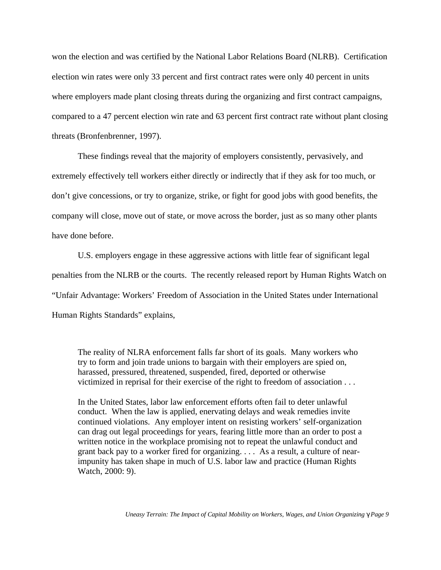won the election and was certified by the National Labor Relations Board (NLRB). Certification election win rates were only 33 percent and first contract rates were only 40 percent in units where employers made plant closing threats during the organizing and first contract campaigns, compared to a 47 percent election win rate and 63 percent first contract rate without plant closing threats (Bronfenbrenner, 1997).

These findings reveal that the majority of employers consistently, pervasively, and extremely effectively tell workers either directly or indirectly that if they ask for too much, or don't give concessions, or try to organize, strike, or fight for good jobs with good benefits, the company will close, move out of state, or move across the border, just as so many other plants have done before.

U.S. employers engage in these aggressive actions with little fear of significant legal penalties from the NLRB or the courts. The recently released report by Human Rights Watch on "Unfair Advantage: Workers' Freedom of Association in the United States under International Human Rights Standards" explains,

The reality of NLRA enforcement falls far short of its goals. Many workers who try to form and join trade unions to bargain with their employers are spied on, harassed, pressured, threatened, suspended, fired, deported or otherwise victimized in reprisal for their exercise of the right to freedom of association . . .

In the United States, labor law enforcement efforts often fail to deter unlawful conduct. When the law is applied, enervating delays and weak remedies invite continued violations. Any employer intent on resisting workers' self-organization can drag out legal proceedings for years, fearing little more than an order to post a written notice in the workplace promising not to repeat the unlawful conduct and grant back pay to a worker fired for organizing. . . . As a result, a culture of nearimpunity has taken shape in much of U.S. labor law and practice (Human Rights Watch, 2000: 9).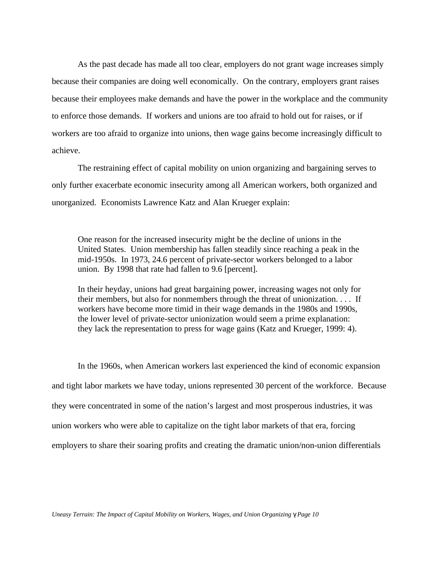As the past decade has made all too clear, employers do not grant wage increases simply because their companies are doing well economically. On the contrary, employers grant raises because their employees make demands and have the power in the workplace and the community to enforce those demands. If workers and unions are too afraid to hold out for raises, or if workers are too afraid to organize into unions, then wage gains become increasingly difficult to achieve.

The restraining effect of capital mobility on union organizing and bargaining serves to only further exacerbate economic insecurity among all American workers, both organized and unorganized. Economists Lawrence Katz and Alan Krueger explain:

One reason for the increased insecurity might be the decline of unions in the United States. Union membership has fallen steadily since reaching a peak in the mid-1950s. In 1973, 24.6 percent of private-sector workers belonged to a labor union. By 1998 that rate had fallen to 9.6 [percent].

In their heyday, unions had great bargaining power, increasing wages not only for their members, but also for nonmembers through the threat of unionization. . . . If workers have become more timid in their wage demands in the 1980s and 1990s, the lower level of private-sector unionization would seem a prime explanation: they lack the representation to press for wage gains (Katz and Krueger, 1999: 4).

In the 1960s, when American workers last experienced the kind of economic expansion and tight labor markets we have today, unions represented 30 percent of the workforce. Because they were concentrated in some of the nation's largest and most prosperous industries, it was union workers who were able to capitalize on the tight labor markets of that era, forcing employers to share their soaring profits and creating the dramatic union/non-union differentials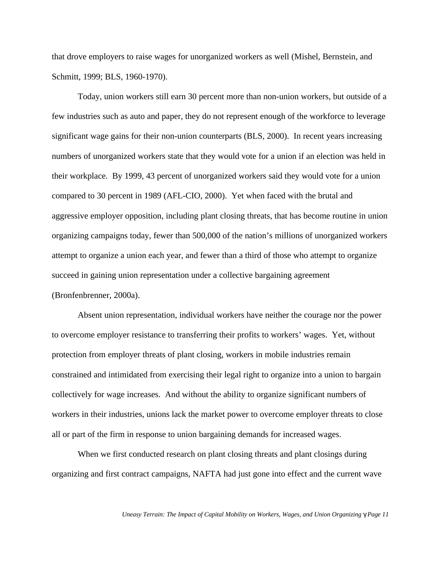that drove employers to raise wages for unorganized workers as well (Mishel, Bernstein, and Schmitt, 1999; BLS, 1960-1970).

Today, union workers still earn 30 percent more than non-union workers, but outside of a few industries such as auto and paper, they do not represent enough of the workforce to leverage significant wage gains for their non-union counterparts (BLS, 2000). In recent years increasing numbers of unorganized workers state that they would vote for a union if an election was held in their workplace. By 1999, 43 percent of unorganized workers said they would vote for a union compared to 30 percent in 1989 (AFL-CIO, 2000). Yet when faced with the brutal and aggressive employer opposition, including plant closing threats, that has become routine in union organizing campaigns today, fewer than 500,000 of the nation's millions of unorganized workers attempt to organize a union each year, and fewer than a third of those who attempt to organize succeed in gaining union representation under a collective bargaining agreement (Bronfenbrenner, 2000a).

Absent union representation, individual workers have neither the courage nor the power to overcome employer resistance to transferring their profits to workers' wages. Yet, without protection from employer threats of plant closing, workers in mobile industries remain constrained and intimidated from exercising their legal right to organize into a union to bargain collectively for wage increases. And without the ability to organize significant numbers of workers in their industries, unions lack the market power to overcome employer threats to close all or part of the firm in response to union bargaining demands for increased wages.

When we first conducted research on plant closing threats and plant closings during organizing and first contract campaigns, NAFTA had just gone into effect and the current wave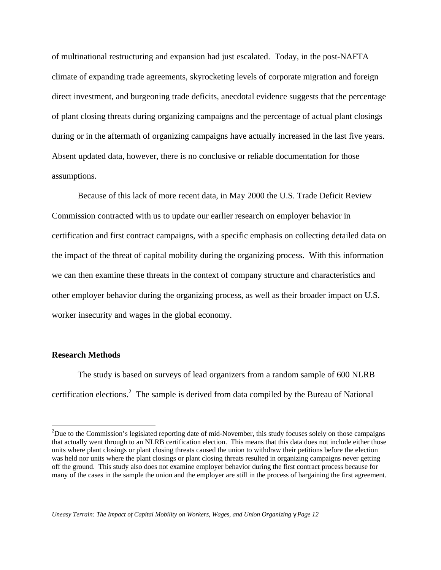of multinational restructuring and expansion had just escalated. Today, in the post-NAFTA climate of expanding trade agreements, skyrocketing levels of corporate migration and foreign direct investment, and burgeoning trade deficits, anecdotal evidence suggests that the percentage of plant closing threats during organizing campaigns and the percentage of actual plant closings during or in the aftermath of organizing campaigns have actually increased in the last five years. Absent updated data, however, there is no conclusive or reliable documentation for those assumptions.

Because of this lack of more recent data, in May 2000 the U.S. Trade Deficit Review Commission contracted with us to update our earlier research on employer behavior in certification and first contract campaigns, with a specific emphasis on collecting detailed data on the impact of the threat of capital mobility during the organizing process. With this information we can then examine these threats in the context of company structure and characteristics and other employer behavior during the organizing process, as well as their broader impact on U.S. worker insecurity and wages in the global economy.

### **Research Methods**

-

The study is based on surveys of lead organizers from a random sample of 600 NLRB certification elections.<sup>2</sup> The sample is derived from data compiled by the Bureau of National

<sup>&</sup>lt;sup>2</sup>Due to the Commission's legislated reporting date of mid-November, this study focuses solely on those campaigns that actually went through to an NLRB certification election. This means that this data does not include either those units where plant closings or plant closing threats caused the union to withdraw their petitions before the election was held nor units where the plant closings or plant closing threats resulted in organizing campaigns never getting off the ground. This study also does not examine employer behavior during the first contract process because for many of the cases in the sample the union and the employer are still in the process of bargaining the first agreement.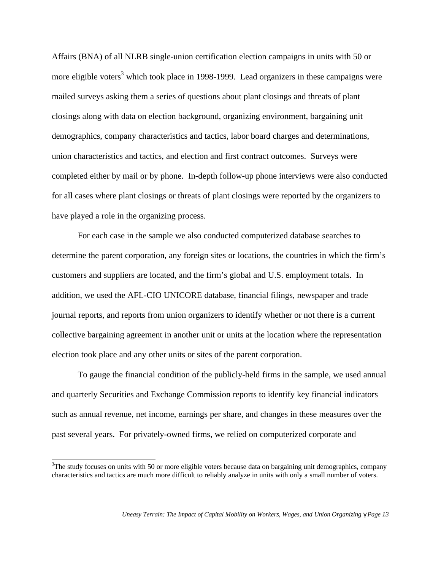Affairs (BNA) of all NLRB single-union certification election campaigns in units with 50 or more eligible voters<sup>3</sup> which took place in 1998-1999. Lead organizers in these campaigns were mailed surveys asking them a series of questions about plant closings and threats of plant closings along with data on election background, organizing environment, bargaining unit demographics, company characteristics and tactics, labor board charges and determinations, union characteristics and tactics, and election and first contract outcomes. Surveys were completed either by mail or by phone. In-depth follow-up phone interviews were also conducted for all cases where plant closings or threats of plant closings were reported by the organizers to have played a role in the organizing process.

For each case in the sample we also conducted computerized database searches to determine the parent corporation, any foreign sites or locations, the countries in which the firm's customers and suppliers are located, and the firm's global and U.S. employment totals. In addition, we used the AFL-CIO UNICORE database, financial filings, newspaper and trade journal reports, and reports from union organizers to identify whether or not there is a current collective bargaining agreement in another unit or units at the location where the representation election took place and any other units or sites of the parent corporation.

To gauge the financial condition of the publicly-held firms in the sample, we used annual and quarterly Securities and Exchange Commission reports to identify key financial indicators such as annual revenue, net income, earnings per share, and changes in these measures over the past several years. For privately-owned firms, we relied on computerized corporate and

 $\overline{a}$ 

 $3$ The study focuses on units with 50 or more eligible voters because data on bargaining unit demographics, company characteristics and tactics are much more difficult to reliably analyze in units with only a small number of voters.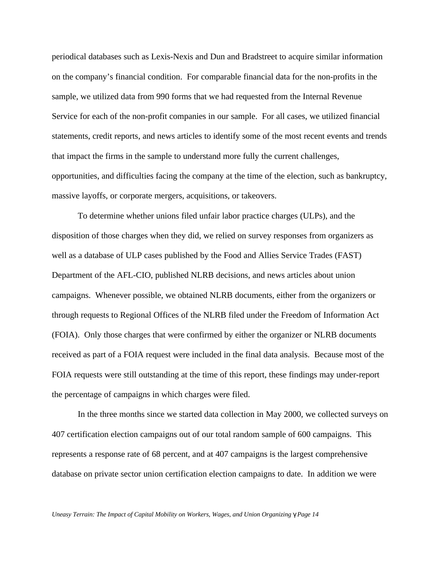periodical databases such as Lexis-Nexis and Dun and Bradstreet to acquire similar information on the company's financial condition. For comparable financial data for the non-profits in the sample, we utilized data from 990 forms that we had requested from the Internal Revenue Service for each of the non-profit companies in our sample. For all cases, we utilized financial statements, credit reports, and news articles to identify some of the most recent events and trends that impact the firms in the sample to understand more fully the current challenges, opportunities, and difficulties facing the company at the time of the election, such as bankruptcy, massive layoffs, or corporate mergers, acquisitions, or takeovers.

To determine whether unions filed unfair labor practice charges (ULPs), and the disposition of those charges when they did, we relied on survey responses from organizers as well as a database of ULP cases published by the Food and Allies Service Trades (FAST) Department of the AFL-CIO, published NLRB decisions, and news articles about union campaigns. Whenever possible, we obtained NLRB documents, either from the organizers or through requests to Regional Offices of the NLRB filed under the Freedom of Information Act (FOIA). Only those charges that were confirmed by either the organizer or NLRB documents received as part of a FOIA request were included in the final data analysis. Because most of the FOIA requests were still outstanding at the time of this report, these findings may under-report the percentage of campaigns in which charges were filed.

In the three months since we started data collection in May 2000, we collected surveys on 407 certification election campaigns out of our total random sample of 600 campaigns. This represents a response rate of 68 percent, and at 407 campaigns is the largest comprehensive database on private sector union certification election campaigns to date. In addition we were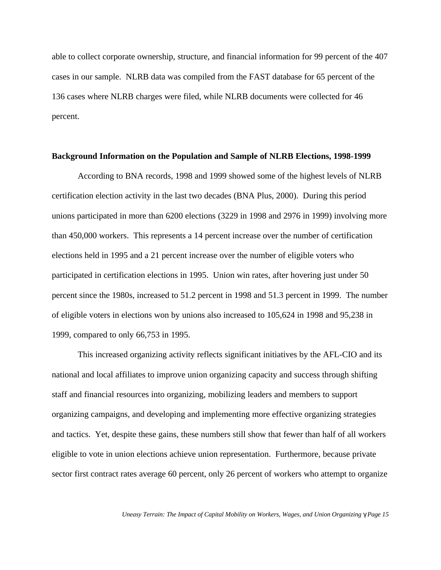able to collect corporate ownership, structure, and financial information for 99 percent of the 407 cases in our sample. NLRB data was compiled from the FAST database for 65 percent of the 136 cases where NLRB charges were filed, while NLRB documents were collected for 46 percent.

#### **Background Information on the Population and Sample of NLRB Elections, 1998-1999**

According to BNA records, 1998 and 1999 showed some of the highest levels of NLRB certification election activity in the last two decades (BNA Plus, 2000). During this period unions participated in more than 6200 elections (3229 in 1998 and 2976 in 1999) involving more than 450,000 workers. This represents a 14 percent increase over the number of certification elections held in 1995 and a 21 percent increase over the number of eligible voters who participated in certification elections in 1995. Union win rates, after hovering just under 50 percent since the 1980s, increased to 51.2 percent in 1998 and 51.3 percent in 1999. The number of eligible voters in elections won by unions also increased to 105,624 in 1998 and 95,238 in 1999, compared to only 66,753 in 1995.

This increased organizing activity reflects significant initiatives by the AFL-CIO and its national and local affiliates to improve union organizing capacity and success through shifting staff and financial resources into organizing, mobilizing leaders and members to support organizing campaigns, and developing and implementing more effective organizing strategies and tactics. Yet, despite these gains, these numbers still show that fewer than half of all workers eligible to vote in union elections achieve union representation. Furthermore, because private sector first contract rates average 60 percent, only 26 percent of workers who attempt to organize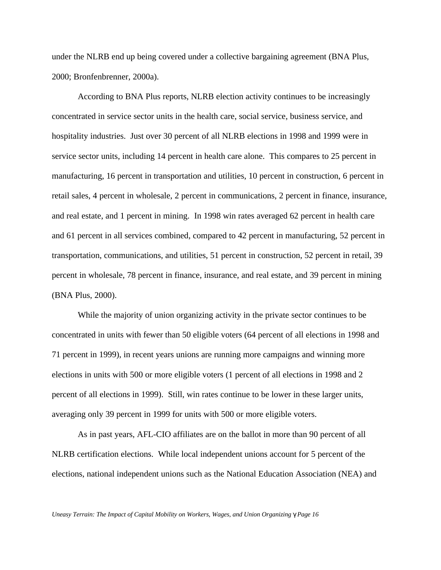under the NLRB end up being covered under a collective bargaining agreement (BNA Plus, 2000; Bronfenbrenner, 2000a).

According to BNA Plus reports, NLRB election activity continues to be increasingly concentrated in service sector units in the health care, social service, business service, and hospitality industries. Just over 30 percent of all NLRB elections in 1998 and 1999 were in service sector units, including 14 percent in health care alone. This compares to 25 percent in manufacturing, 16 percent in transportation and utilities, 10 percent in construction, 6 percent in retail sales, 4 percent in wholesale, 2 percent in communications, 2 percent in finance, insurance, and real estate, and 1 percent in mining. In 1998 win rates averaged 62 percent in health care and 61 percent in all services combined, compared to 42 percent in manufacturing, 52 percent in transportation, communications, and utilities, 51 percent in construction, 52 percent in retail, 39 percent in wholesale, 78 percent in finance, insurance, and real estate, and 39 percent in mining (BNA Plus, 2000).

While the majority of union organizing activity in the private sector continues to be concentrated in units with fewer than 50 eligible voters (64 percent of all elections in 1998 and 71 percent in 1999), in recent years unions are running more campaigns and winning more elections in units with 500 or more eligible voters (1 percent of all elections in 1998 and 2 percent of all elections in 1999). Still, win rates continue to be lower in these larger units, averaging only 39 percent in 1999 for units with 500 or more eligible voters.

As in past years, AFL-CIO affiliates are on the ballot in more than 90 percent of all NLRB certification elections. While local independent unions account for 5 percent of the elections, national independent unions such as the National Education Association (NEA) and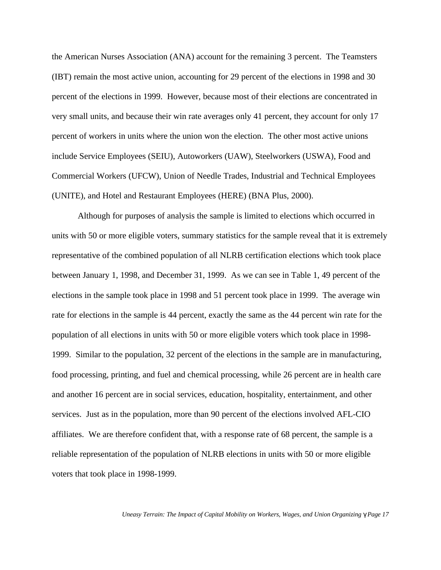the American Nurses Association (ANA) account for the remaining 3 percent. The Teamsters (IBT) remain the most active union, accounting for 29 percent of the elections in 1998 and 30 percent of the elections in 1999. However, because most of their elections are concentrated in very small units, and because their win rate averages only 41 percent, they account for only 17 percent of workers in units where the union won the election. The other most active unions include Service Employees (SEIU), Autoworkers (UAW), Steelworkers (USWA), Food and Commercial Workers (UFCW), Union of Needle Trades, Industrial and Technical Employees (UNITE), and Hotel and Restaurant Employees (HERE) (BNA Plus, 2000).

Although for purposes of analysis the sample is limited to elections which occurred in units with 50 or more eligible voters, summary statistics for the sample reveal that it is extremely representative of the combined population of all NLRB certification elections which took place between January 1, 1998, and December 31, 1999. As we can see in Table 1, 49 percent of the elections in the sample took place in 1998 and 51 percent took place in 1999. The average win rate for elections in the sample is 44 percent, exactly the same as the 44 percent win rate for the population of all elections in units with 50 or more eligible voters which took place in 1998- 1999. Similar to the population, 32 percent of the elections in the sample are in manufacturing, food processing, printing, and fuel and chemical processing, while 26 percent are in health care and another 16 percent are in social services, education, hospitality, entertainment, and other services. Just as in the population, more than 90 percent of the elections involved AFL-CIO affiliates. We are therefore confident that, with a response rate of 68 percent, the sample is a reliable representation of the population of NLRB elections in units with 50 or more eligible voters that took place in 1998-1999.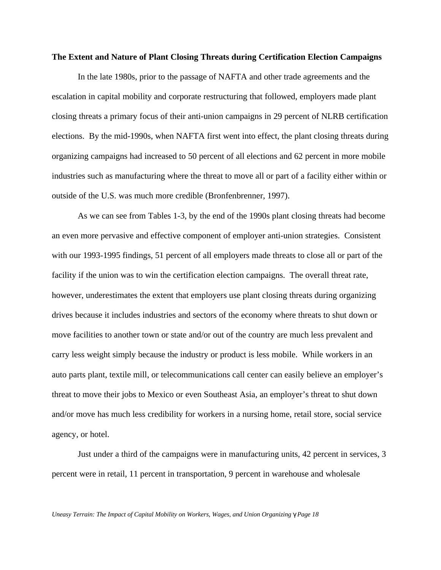#### **The Extent and Nature of Plant Closing Threats during Certification Election Campaigns**

In the late 1980s, prior to the passage of NAFTA and other trade agreements and the escalation in capital mobility and corporate restructuring that followed, employers made plant closing threats a primary focus of their anti-union campaigns in 29 percent of NLRB certification elections. By the mid-1990s, when NAFTA first went into effect, the plant closing threats during organizing campaigns had increased to 50 percent of all elections and 62 percent in more mobile industries such as manufacturing where the threat to move all or part of a facility either within or outside of the U.S. was much more credible (Bronfenbrenner, 1997).

As we can see from Tables 1-3, by the end of the 1990s plant closing threats had become an even more pervasive and effective component of employer anti-union strategies. Consistent with our 1993-1995 findings, 51 percent of all employers made threats to close all or part of the facility if the union was to win the certification election campaigns. The overall threat rate, however, underestimates the extent that employers use plant closing threats during organizing drives because it includes industries and sectors of the economy where threats to shut down or move facilities to another town or state and/or out of the country are much less prevalent and carry less weight simply because the industry or product is less mobile. While workers in an auto parts plant, textile mill, or telecommunications call center can easily believe an employer's threat to move their jobs to Mexico or even Southeast Asia, an employer's threat to shut down and/or move has much less credibility for workers in a nursing home, retail store, social service agency, or hotel.

Just under a third of the campaigns were in manufacturing units, 42 percent in services, 3 percent were in retail, 11 percent in transportation, 9 percent in warehouse and wholesale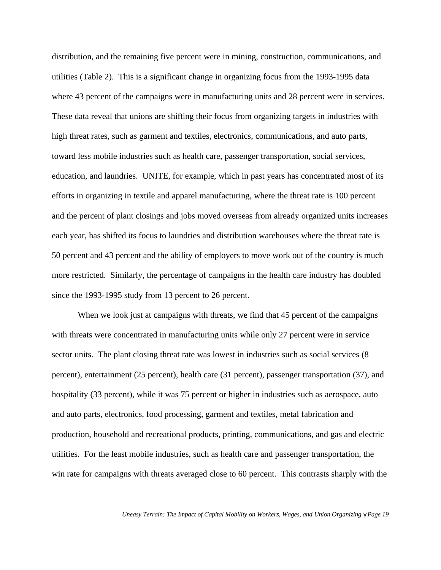distribution, and the remaining five percent were in mining, construction, communications, and utilities (Table 2). This is a significant change in organizing focus from the 1993-1995 data where 43 percent of the campaigns were in manufacturing units and 28 percent were in services. These data reveal that unions are shifting their focus from organizing targets in industries with high threat rates, such as garment and textiles, electronics, communications, and auto parts, toward less mobile industries such as health care, passenger transportation, social services, education, and laundries. UNITE, for example, which in past years has concentrated most of its efforts in organizing in textile and apparel manufacturing, where the threat rate is 100 percent and the percent of plant closings and jobs moved overseas from already organized units increases each year, has shifted its focus to laundries and distribution warehouses where the threat rate is 50 percent and 43 percent and the ability of employers to move work out of the country is much more restricted. Similarly, the percentage of campaigns in the health care industry has doubled since the 1993-1995 study from 13 percent to 26 percent.

When we look just at campaigns with threats, we find that 45 percent of the campaigns with threats were concentrated in manufacturing units while only 27 percent were in service sector units. The plant closing threat rate was lowest in industries such as social services (8) percent), entertainment (25 percent), health care (31 percent), passenger transportation (37), and hospitality (33 percent), while it was 75 percent or higher in industries such as aerospace, auto and auto parts, electronics, food processing, garment and textiles, metal fabrication and production, household and recreational products, printing, communications, and gas and electric utilities. For the least mobile industries, such as health care and passenger transportation, the win rate for campaigns with threats averaged close to 60 percent. This contrasts sharply with the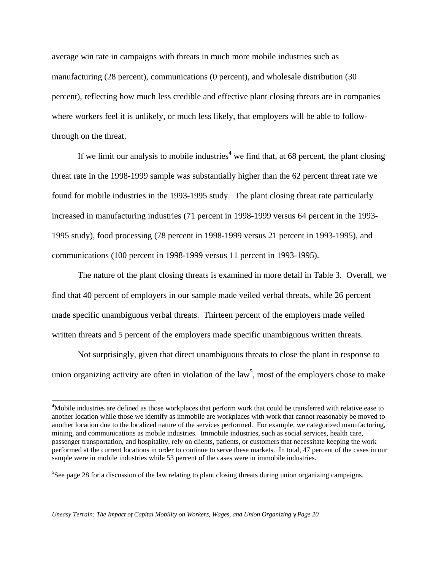average win rate in campaigns with threats in much more mobile industries such as manufacturing (28 percent), communications (0 percent), and wholesale distribution (30 percent), reflecting how much less credible and effective plant closing threats are in companies where workers feel it is unlikely, or much less likely, that employers will be able to followthrough on the threat.

If we limit our analysis to mobile industries<sup>4</sup> we find that, at 68 percent, the plant closing threat rate in the 1998-1999 sample was substantially higher than the 62 percent threat rate we found for mobile industries in the 1993-1995 study. The plant closing threat rate particularly increased in manufacturing industries (71 percent in 1998-1999 versus 64 percent in the 1993- 1995 study), food processing (78 percent in 1998-1999 versus 21 percent in 1993-1995), and communications (100 percent in 1998-1999 versus 11 percent in 1993-1995).

The nature of the plant closing threats is examined in more detail in Table 3. Overall, we find that 40 percent of employers in our sample made veiled verbal threats, while 26 percent made specific unambiguous verbal threats. Thirteen percent of the employers made veiled written threats and 5 percent of the employers made specific unambiguous written threats.

Not surprisingly, given that direct unambiguous threats to close the plant in response to union organizing activity are often in violation of the law<sup>5</sup>, most of the employers chose to make

-

<sup>4</sup>Mobile industries are defined as those workplaces that perform work that could be transferred with relative ease to another location while those we identify as immobile are workplaces with work that cannot reasonably be moved to another location due to the localized nature of the services performed. For example, we categorized manufacturing, mining, and communications as mobile industries. Immobile industries, such as social services, health care, passenger transportation, and hospitality, rely on clients, patients, or customers that necessitate keeping the work performed at the current locations in order to continue to serve these markets. In total, 47 percent of the cases in our sample were in mobile industries while 53 percent of the cases were in immobile industries.

<sup>&</sup>lt;sup>5</sup>See page 28 for a discussion of the law relating to plant closing threats during union organizing campaigns.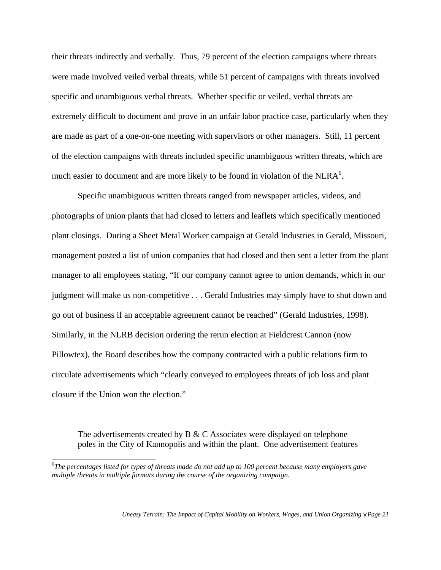their threats indirectly and verbally. Thus, 79 percent of the election campaigns where threats were made involved veiled verbal threats, while 51 percent of campaigns with threats involved specific and unambiguous verbal threats. Whether specific or veiled, verbal threats are extremely difficult to document and prove in an unfair labor practice case, particularly when they are made as part of a one-on-one meeting with supervisors or other managers. Still, 11 percent of the election campaigns with threats included specific unambiguous written threats, which are much easier to document and are more likely to be found in violation of the  $NLRA<sup>6</sup>$ .

Specific unambiguous written threats ranged from newspaper articles, videos, and photographs of union plants that had closed to letters and leaflets which specifically mentioned plant closings. During a Sheet Metal Worker campaign at Gerald Industries in Gerald, Missouri, management posted a list of union companies that had closed and then sent a letter from the plant manager to all employees stating, "If our company cannot agree to union demands, which in our judgment will make us non-competitive . . . Gerald Industries may simply have to shut down and go out of business if an acceptable agreement cannot be reached" (Gerald Industries, 1998). Similarly, in the NLRB decision ordering the rerun election at Fieldcrest Cannon (now Pillowtex), the Board describes how the company contracted with a public relations firm to circulate advertisements which "clearly conveyed to employees threats of job loss and plant closure if the Union won the election."

The advertisements created by B  $\&$  C Associates were displayed on telephone poles in the City of Kannopolis and within the plant. One advertisement features

 $\overline{a}$ 

<sup>6</sup> *The percentages listed for types of threats made do not add up to 100 percent because many employers gave multiple threats in multiple formats during the course of the organizing campaign.*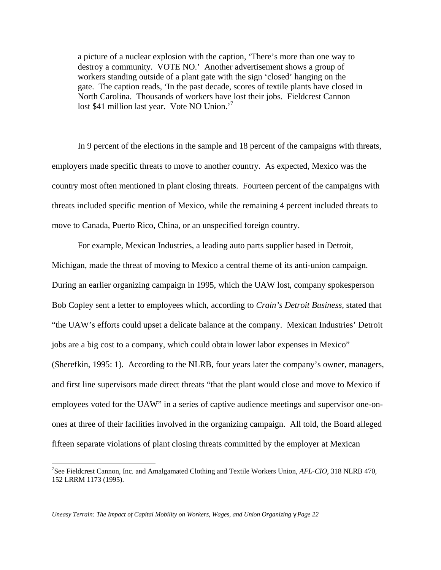a picture of a nuclear explosion with the caption, 'There's more than one way to destroy a community. VOTE NO.' Another advertisement shows a group of workers standing outside of a plant gate with the sign 'closed' hanging on the gate. The caption reads, 'In the past decade, scores of textile plants have closed in North Carolina. Thousands of workers have lost their jobs. Fieldcrest Cannon lost \$41 million last year. Vote NO Union.<sup>7</sup>

In 9 percent of the elections in the sample and 18 percent of the campaigns with threats, employers made specific threats to move to another country. As expected, Mexico was the country most often mentioned in plant closing threats. Fourteen percent of the campaigns with threats included specific mention of Mexico, while the remaining 4 percent included threats to move to Canada, Puerto Rico, China, or an unspecified foreign country.

For example, Mexican Industries, a leading auto parts supplier based in Detroit, Michigan, made the threat of moving to Mexico a central theme of its anti-union campaign. During an earlier organizing campaign in 1995, which the UAW lost, company spokesperson Bob Copley sent a letter to employees which, according to *Crain's Detroit Business,* stated that "the UAW's efforts could upset a delicate balance at the company. Mexican Industries' Detroit jobs are a big cost to a company, which could obtain lower labor expenses in Mexico" (Sherefkin, 1995: 1). According to the NLRB, four years later the company's owner, managers, and first line supervisors made direct threats "that the plant would close and move to Mexico if employees voted for the UAW" in a series of captive audience meetings and supervisor one-onones at three of their facilities involved in the organizing campaign. All told, the Board alleged fifteen separate violations of plant closing threats committed by the employer at Mexican

*Uneasy Terrain: The Impact of Capital Mobility on Workers, Wages, and Union Organizing <i>g* Page 22

 $\overline{a}$ 

<sup>7</sup> See Fieldcrest Cannon, Inc. and Amalgamated Clothing and Textile Workers Union, *AFL-CIO*, 318 NLRB 470, 152 LRRM 1173 (1995).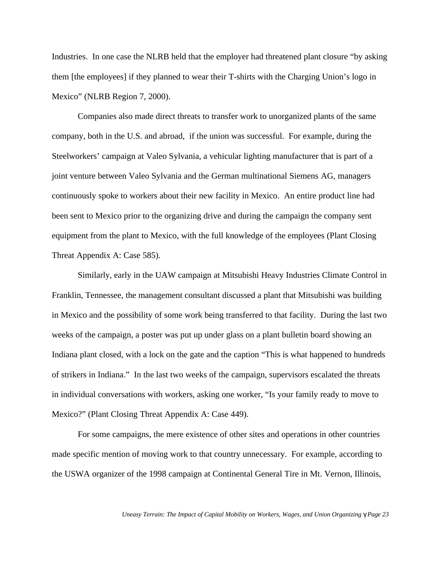Industries. In one case the NLRB held that the employer had threatened plant closure "by asking them [the employees] if they planned to wear their T-shirts with the Charging Union's logo in Mexico" (NLRB Region 7, 2000).

Companies also made direct threats to transfer work to unorganized plants of the same company, both in the U.S. and abroad, if the union was successful. For example, during the Steelworkers' campaign at Valeo Sylvania, a vehicular lighting manufacturer that is part of a joint venture between Valeo Sylvania and the German multinational Siemens AG, managers continuously spoke to workers about their new facility in Mexico. An entire product line had been sent to Mexico prior to the organizing drive and during the campaign the company sent equipment from the plant to Mexico, with the full knowledge of the employees (Plant Closing Threat Appendix A: Case 585).

Similarly, early in the UAW campaign at Mitsubishi Heavy Industries Climate Control in Franklin, Tennessee, the management consultant discussed a plant that Mitsubishi was building in Mexico and the possibility of some work being transferred to that facility. During the last two weeks of the campaign, a poster was put up under glass on a plant bulletin board showing an Indiana plant closed, with a lock on the gate and the caption "This is what happened to hundreds of strikers in Indiana." In the last two weeks of the campaign, supervisors escalated the threats in individual conversations with workers, asking one worker, "Is your family ready to move to Mexico?" (Plant Closing Threat Appendix A: Case 449).

For some campaigns, the mere existence of other sites and operations in other countries made specific mention of moving work to that country unnecessary. For example, according to the USWA organizer of the 1998 campaign at Continental General Tire in Mt. Vernon, Illinois,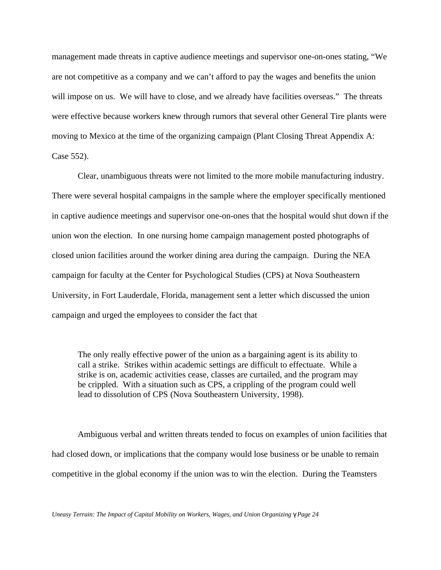management made threats in captive audience meetings and supervisor one-on-ones stating, "We are not competitive as a company and we can't afford to pay the wages and benefits the union will impose on us. We will have to close, and we already have facilities overseas." The threats were effective because workers knew through rumors that several other General Tire plants were moving to Mexico at the time of the organizing campaign (Plant Closing Threat Appendix A: Case 552).

Clear, unambiguous threats were not limited to the more mobile manufacturing industry. There were several hospital campaigns in the sample where the employer specifically mentioned in captive audience meetings and supervisor one-on-ones that the hospital would shut down if the union won the election. In one nursing home campaign management posted photographs of closed union facilities around the worker dining area during the campaign. During the NEA campaign for faculty at the Center for Psychological Studies (CPS) at Nova Southeastern University, in Fort Lauderdale, Florida, management sent a letter which discussed the union campaign and urged the employees to consider the fact that

The only really effective power of the union as a bargaining agent is its ability to call a strike. Strikes within academic settings are difficult to effectuate. While a strike is on, academic activities cease, classes are curtailed, and the program may be crippled. With a situation such as CPS, a crippling of the program could well lead to dissolution of CPS (Nova Southeastern University, 1998).

Ambiguous verbal and written threats tended to focus on examples of union facilities that had closed down, or implications that the company would lose business or be unable to remain competitive in the global economy if the union was to win the election. During the Teamsters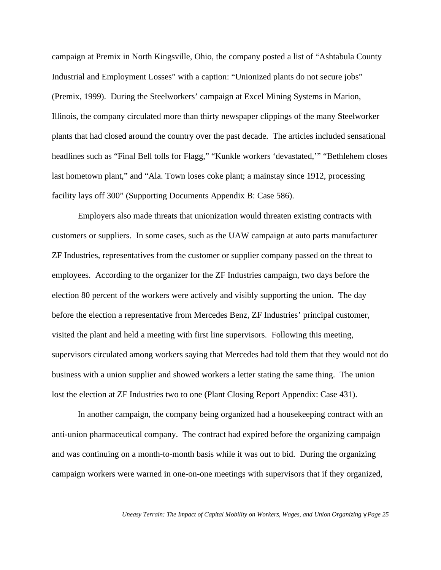campaign at Premix in North Kingsville, Ohio, the company posted a list of "Ashtabula County Industrial and Employment Losses" with a caption: "Unionized plants do not secure jobs" (Premix, 1999). During the Steelworkers' campaign at Excel Mining Systems in Marion, Illinois, the company circulated more than thirty newspaper clippings of the many Steelworker plants that had closed around the country over the past decade. The articles included sensational headlines such as "Final Bell tolls for Flagg," "Kunkle workers 'devastated,'" "Bethlehem closes last hometown plant," and "Ala. Town loses coke plant; a mainstay since 1912, processing facility lays off 300" (Supporting Documents Appendix B: Case 586).

Employers also made threats that unionization would threaten existing contracts with customers or suppliers. In some cases, such as the UAW campaign at auto parts manufacturer ZF Industries, representatives from the customer or supplier company passed on the threat to employees. According to the organizer for the ZF Industries campaign, two days before the election 80 percent of the workers were actively and visibly supporting the union. The day before the election a representative from Mercedes Benz, ZF Industries' principal customer, visited the plant and held a meeting with first line supervisors. Following this meeting, supervisors circulated among workers saying that Mercedes had told them that they would not do business with a union supplier and showed workers a letter stating the same thing. The union lost the election at ZF Industries two to one (Plant Closing Report Appendix: Case 431).

In another campaign, the company being organized had a housekeeping contract with an anti-union pharmaceutical company. The contract had expired before the organizing campaign and was continuing on a month-to-month basis while it was out to bid. During the organizing campaign workers were warned in one-on-one meetings with supervisors that if they organized,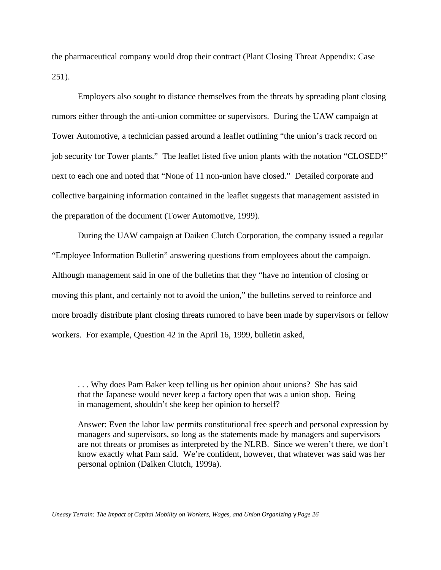the pharmaceutical company would drop their contract (Plant Closing Threat Appendix: Case 251).

Employers also sought to distance themselves from the threats by spreading plant closing rumors either through the anti-union committee or supervisors. During the UAW campaign at Tower Automotive, a technician passed around a leaflet outlining "the union's track record on job security for Tower plants." The leaflet listed five union plants with the notation "CLOSED!" next to each one and noted that "None of 11 non-union have closed." Detailed corporate and collective bargaining information contained in the leaflet suggests that management assisted in the preparation of the document (Tower Automotive, 1999).

During the UAW campaign at Daiken Clutch Corporation, the company issued a regular "Employee Information Bulletin" answering questions from employees about the campaign. Although management said in one of the bulletins that they "have no intention of closing or moving this plant, and certainly not to avoid the union," the bulletins served to reinforce and more broadly distribute plant closing threats rumored to have been made by supervisors or fellow workers. For example, Question 42 in the April 16, 1999, bulletin asked,

. . . Why does Pam Baker keep telling us her opinion about unions? She has said that the Japanese would never keep a factory open that was a union shop. Being in management, shouldn't she keep her opinion to herself?

Answer: Even the labor law permits constitutional free speech and personal expression by managers and supervisors, so long as the statements made by managers and supervisors are not threats or promises as interpreted by the NLRB. Since we weren't there, we don't know exactly what Pam said. We're confident, however, that whatever was said was her personal opinion (Daiken Clutch, 1999a).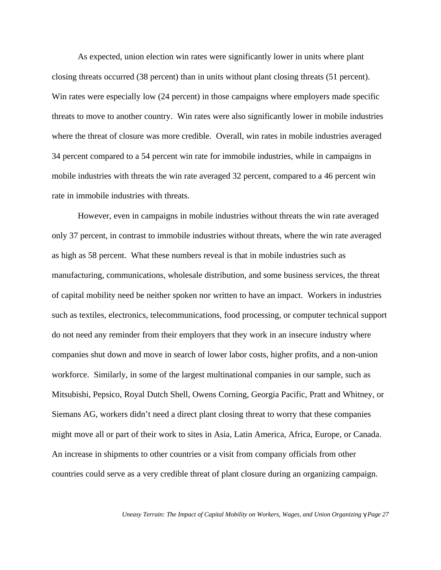As expected, union election win rates were significantly lower in units where plant closing threats occurred (38 percent) than in units without plant closing threats (51 percent). Win rates were especially low (24 percent) in those campaigns where employers made specific threats to move to another country. Win rates were also significantly lower in mobile industries where the threat of closure was more credible. Overall, win rates in mobile industries averaged 34 percent compared to a 54 percent win rate for immobile industries, while in campaigns in mobile industries with threats the win rate averaged 32 percent, compared to a 46 percent win rate in immobile industries with threats.

However, even in campaigns in mobile industries without threats the win rate averaged only 37 percent, in contrast to immobile industries without threats, where the win rate averaged as high as 58 percent. What these numbers reveal is that in mobile industries such as manufacturing, communications, wholesale distribution, and some business services, the threat of capital mobility need be neither spoken nor written to have an impact. Workers in industries such as textiles, electronics, telecommunications, food processing, or computer technical support do not need any reminder from their employers that they work in an insecure industry where companies shut down and move in search of lower labor costs, higher profits, and a non-union workforce. Similarly, in some of the largest multinational companies in our sample, such as Mitsubishi, Pepsico, Royal Dutch Shell, Owens Corning, Georgia Pacific, Pratt and Whitney, or Siemans AG, workers didn't need a direct plant closing threat to worry that these companies might move all or part of their work to sites in Asia, Latin America, Africa, Europe, or Canada. An increase in shipments to other countries or a visit from company officials from other countries could serve as a very credible threat of plant closure during an organizing campaign.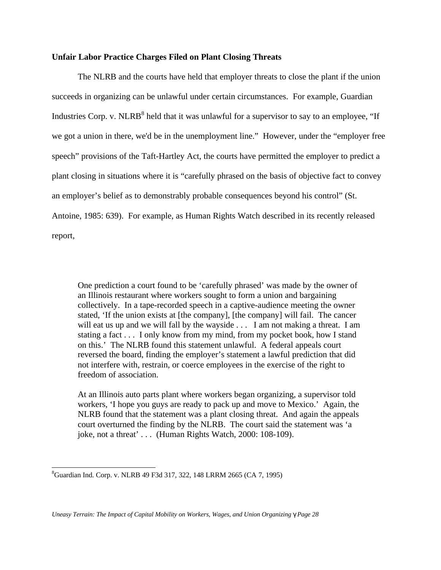## **Unfair Labor Practice Charges Filed on Plant Closing Threats**

The NLRB and the courts have held that employer threats to close the plant if the union succeeds in organizing can be unlawful under certain circumstances. For example, Guardian Industries Corp. v. NLRB<sup>8</sup> held that it was unlawful for a supervisor to say to an employee, "If we got a union in there, we'd be in the unemployment line." However, under the "employer free speech" provisions of the Taft-Hartley Act, the courts have permitted the employer to predict a plant closing in situations where it is "carefully phrased on the basis of objective fact to convey an employer's belief as to demonstrably probable consequences beyond his control" (St. Antoine, 1985: 639). For example, as Human Rights Watch described in its recently released report,

One prediction a court found to be 'carefully phrased' was made by the owner of an Illinois restaurant where workers sought to form a union and bargaining collectively. In a tape-recorded speech in a captive-audience meeting the owner stated, 'If the union exists at [the company], [the company] will fail. The cancer will eat us up and we will fall by the wayside . . . I am not making a threat. I am stating a fact . . . I only know from my mind, from my pocket book, how I stand on this.' The NLRB found this statement unlawful. A federal appeals court reversed the board, finding the employer's statement a lawful prediction that did not interfere with, restrain, or coerce employees in the exercise of the right to freedom of association.

At an Illinois auto parts plant where workers began organizing, a supervisor told workers, 'I hope you guys are ready to pack up and move to Mexico.' Again, the NLRB found that the statement was a plant closing threat. And again the appeals court overturned the finding by the NLRB. The court said the statement was 'a joke, not a threat' . . . (Human Rights Watch, 2000: 108-109).

 $\overline{a}$ 

<sup>8</sup>Guardian Ind. Corp. v. NLRB 49 F3d 317, 322, 148 LRRM 2665 (CA 7, 1995)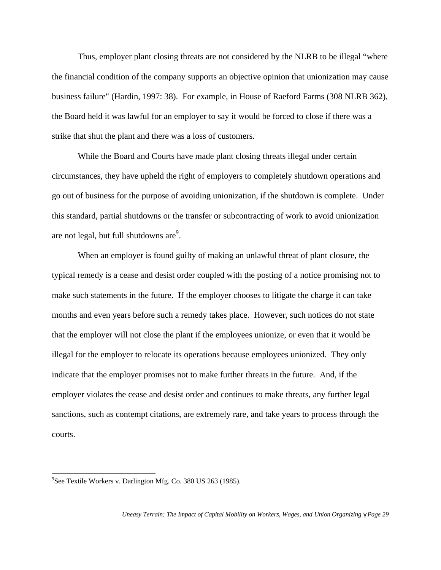Thus, employer plant closing threats are not considered by the NLRB to be illegal "where the financial condition of the company supports an objective opinion that unionization may cause business failure" (Hardin, 1997: 38). For example, in House of Raeford Farms (308 NLRB 362), the Board held it was lawful for an employer to say it would be forced to close if there was a strike that shut the plant and there was a loss of customers.

While the Board and Courts have made plant closing threats illegal under certain circumstances, they have upheld the right of employers to completely shutdown operations and go out of business for the purpose of avoiding unionization, if the shutdown is complete. Under this standard, partial shutdowns or the transfer or subcontracting of work to avoid unionization are not legal, but full shutdowns are $^9$ .

When an employer is found guilty of making an unlawful threat of plant closure, the typical remedy is a cease and desist order coupled with the posting of a notice promising not to make such statements in the future. If the employer chooses to litigate the charge it can take months and even years before such a remedy takes place. However, such notices do not state that the employer will not close the plant if the employees unionize, or even that it would be illegal for the employer to relocate its operations because employees unionized. They only indicate that the employer promises not to make further threats in the future. And, if the employer violates the cease and desist order and continues to make threats, any further legal sanctions, such as contempt citations, are extremely rare, and take years to process through the courts.

 $\overline{a}$ 

<sup>&</sup>lt;sup>9</sup>See Textile Workers v. Darlington Mfg. Co. 380 US 263 (1985).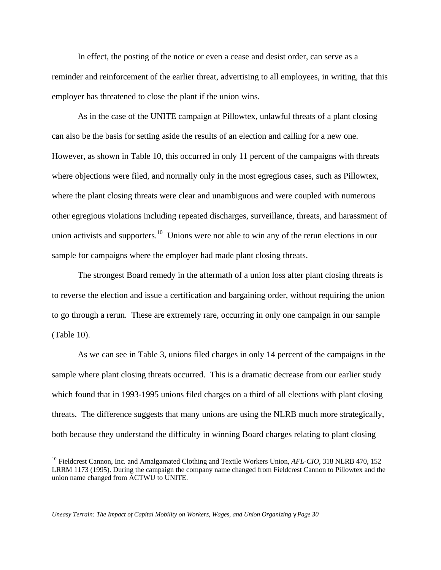In effect, the posting of the notice or even a cease and desist order, can serve as a reminder and reinforcement of the earlier threat, advertising to all employees, in writing, that this employer has threatened to close the plant if the union wins.

As in the case of the UNITE campaign at Pillowtex, unlawful threats of a plant closing can also be the basis for setting aside the results of an election and calling for a new one. However, as shown in Table 10, this occurred in only 11 percent of the campaigns with threats where objections were filed, and normally only in the most egregious cases, such as Pillowtex, where the plant closing threats were clear and unambiguous and were coupled with numerous other egregious violations including repeated discharges, surveillance, threats, and harassment of union activists and supporters.<sup>10</sup> Unions were not able to win any of the rerun elections in our sample for campaigns where the employer had made plant closing threats.

The strongest Board remedy in the aftermath of a union loss after plant closing threats is to reverse the election and issue a certification and bargaining order, without requiring the union to go through a rerun. These are extremely rare, occurring in only one campaign in our sample (Table 10).

As we can see in Table 3, unions filed charges in only 14 percent of the campaigns in the sample where plant closing threats occurred. This is a dramatic decrease from our earlier study which found that in 1993-1995 unions filed charges on a third of all elections with plant closing threats. The difference suggests that many unions are using the NLRB much more strategically, both because they understand the difficulty in winning Board charges relating to plant closing

 $\overline{a}$ 

<sup>&</sup>lt;sup>10</sup> Fieldcrest Cannon, Inc. and Amalgamated Clothing and Textile Workers Union, *AFL-CIO*, 318 NLRB 470, 152 LRRM 1173 (1995). During the campaign the company name changed from Fieldcrest Cannon to Pillowtex and the union name changed from ACTWU to UNITE.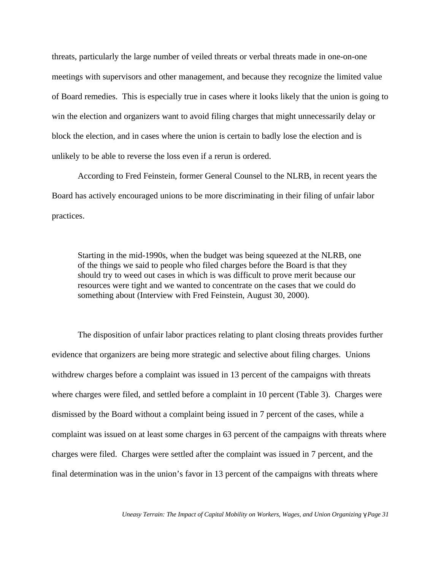threats, particularly the large number of veiled threats or verbal threats made in one-on-one meetings with supervisors and other management, and because they recognize the limited value of Board remedies. This is especially true in cases where it looks likely that the union is going to win the election and organizers want to avoid filing charges that might unnecessarily delay or block the election, and in cases where the union is certain to badly lose the election and is unlikely to be able to reverse the loss even if a rerun is ordered.

According to Fred Feinstein, former General Counsel to the NLRB, in recent years the Board has actively encouraged unions to be more discriminating in their filing of unfair labor practices.

Starting in the mid-1990s, when the budget was being squeezed at the NLRB, one of the things we said to people who filed charges before the Board is that they should try to weed out cases in which is was difficult to prove merit because our resources were tight and we wanted to concentrate on the cases that we could do something about (Interview with Fred Feinstein, August 30, 2000).

The disposition of unfair labor practices relating to plant closing threats provides further evidence that organizers are being more strategic and selective about filing charges. Unions withdrew charges before a complaint was issued in 13 percent of the campaigns with threats where charges were filed, and settled before a complaint in 10 percent (Table 3). Charges were dismissed by the Board without a complaint being issued in 7 percent of the cases, while a complaint was issued on at least some charges in 63 percent of the campaigns with threats where charges were filed. Charges were settled after the complaint was issued in 7 percent, and the final determination was in the union's favor in 13 percent of the campaigns with threats where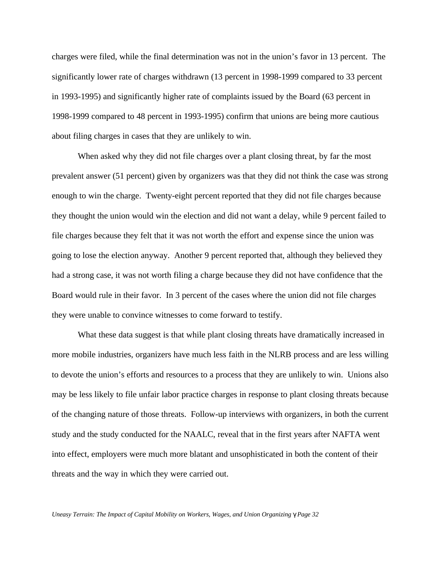charges were filed, while the final determination was not in the union's favor in 13 percent. The significantly lower rate of charges withdrawn (13 percent in 1998-1999 compared to 33 percent in 1993-1995) and significantly higher rate of complaints issued by the Board (63 percent in 1998-1999 compared to 48 percent in 1993-1995) confirm that unions are being more cautious about filing charges in cases that they are unlikely to win.

When asked why they did not file charges over a plant closing threat, by far the most prevalent answer (51 percent) given by organizers was that they did not think the case was strong enough to win the charge. Twenty-eight percent reported that they did not file charges because they thought the union would win the election and did not want a delay, while 9 percent failed to file charges because they felt that it was not worth the effort and expense since the union was going to lose the election anyway. Another 9 percent reported that, although they believed they had a strong case, it was not worth filing a charge because they did not have confidence that the Board would rule in their favor. In 3 percent of the cases where the union did not file charges they were unable to convince witnesses to come forward to testify.

What these data suggest is that while plant closing threats have dramatically increased in more mobile industries, organizers have much less faith in the NLRB process and are less willing to devote the union's efforts and resources to a process that they are unlikely to win. Unions also may be less likely to file unfair labor practice charges in response to plant closing threats because of the changing nature of those threats. Follow-up interviews with organizers, in both the current study and the study conducted for the NAALC, reveal that in the first years after NAFTA went into effect, employers were much more blatant and unsophisticated in both the content of their threats and the way in which they were carried out.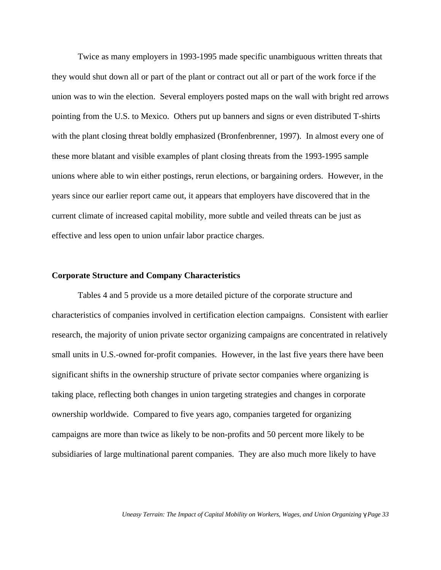Twice as many employers in 1993-1995 made specific unambiguous written threats that they would shut down all or part of the plant or contract out all or part of the work force if the union was to win the election. Several employers posted maps on the wall with bright red arrows pointing from the U.S. to Mexico. Others put up banners and signs or even distributed T-shirts with the plant closing threat boldly emphasized (Bronfenbrenner, 1997). In almost every one of these more blatant and visible examples of plant closing threats from the 1993-1995 sample unions where able to win either postings, rerun elections, or bargaining orders. However, in the years since our earlier report came out, it appears that employers have discovered that in the current climate of increased capital mobility, more subtle and veiled threats can be just as effective and less open to union unfair labor practice charges.

#### **Corporate Structure and Company Characteristics**

Tables 4 and 5 provide us a more detailed picture of the corporate structure and characteristics of companies involved in certification election campaigns. Consistent with earlier research, the majority of union private sector organizing campaigns are concentrated in relatively small units in U.S.-owned for-profit companies. However, in the last five years there have been significant shifts in the ownership structure of private sector companies where organizing is taking place, reflecting both changes in union targeting strategies and changes in corporate ownership worldwide. Compared to five years ago, companies targeted for organizing campaigns are more than twice as likely to be non-profits and 50 percent more likely to be subsidiaries of large multinational parent companies. They are also much more likely to have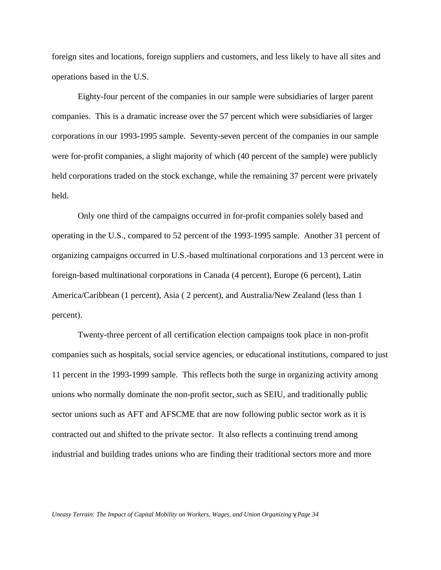foreign sites and locations, foreign suppliers and customers, and less likely to have all sites and operations based in the U.S.

Eighty-four percent of the companies in our sample were subsidiaries of larger parent companies. This is a dramatic increase over the 57 percent which were subsidiaries of larger corporations in our 1993-1995 sample. Seventy-seven percent of the companies in our sample were for-profit companies, a slight majority of which (40 percent of the sample) were publicly held corporations traded on the stock exchange, while the remaining 37 percent were privately held.

Only one third of the campaigns occurred in for-profit companies solely based and operating in the U.S., compared to 52 percent of the 1993-1995 sample. Another 31 percent of organizing campaigns occurred in U.S.-based multinational corporations and 13 percent were in foreign-based multinational corporations in Canada (4 percent), Europe (6 percent), Latin America/Caribbean (1 percent), Asia ( 2 percent), and Australia/New Zealand (less than 1 percent).

Twenty-three percent of all certification election campaigns took place in non-profit companies such as hospitals, social service agencies, or educational institutions, compared to just 11 percent in the 1993-1999 sample. This reflects both the surge in organizing activity among unions who normally dominate the non-profit sector, such as SEIU, and traditionally public sector unions such as AFT and AFSCME that are now following public sector work as it is contracted out and shifted to the private sector. It also reflects a continuing trend among industrial and building trades unions who are finding their traditional sectors more and more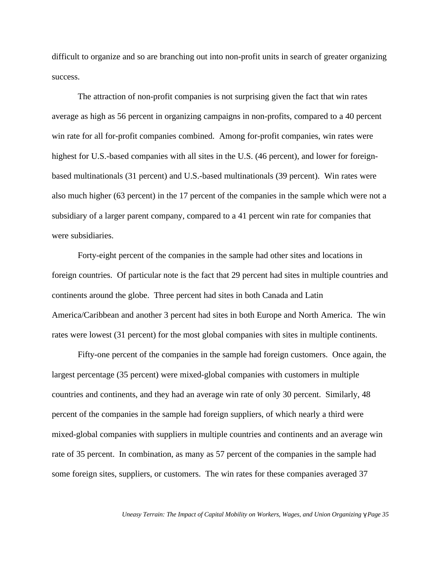difficult to organize and so are branching out into non-profit units in search of greater organizing success.

The attraction of non-profit companies is not surprising given the fact that win rates average as high as 56 percent in organizing campaigns in non-profits, compared to a 40 percent win rate for all for-profit companies combined. Among for-profit companies, win rates were highest for U.S.-based companies with all sites in the U.S. (46 percent), and lower for foreignbased multinationals (31 percent) and U.S.-based multinationals (39 percent). Win rates were also much higher (63 percent) in the 17 percent of the companies in the sample which were not a subsidiary of a larger parent company, compared to a 41 percent win rate for companies that were subsidiaries.

Forty-eight percent of the companies in the sample had other sites and locations in foreign countries. Of particular note is the fact that 29 percent had sites in multiple countries and continents around the globe. Three percent had sites in both Canada and Latin America/Caribbean and another 3 percent had sites in both Europe and North America. The win rates were lowest (31 percent) for the most global companies with sites in multiple continents.

Fifty-one percent of the companies in the sample had foreign customers. Once again, the largest percentage (35 percent) were mixed-global companies with customers in multiple countries and continents, and they had an average win rate of only 30 percent. Similarly, 48 percent of the companies in the sample had foreign suppliers, of which nearly a third were mixed-global companies with suppliers in multiple countries and continents and an average win rate of 35 percent. In combination, as many as 57 percent of the companies in the sample had some foreign sites, suppliers, or customers. The win rates for these companies averaged 37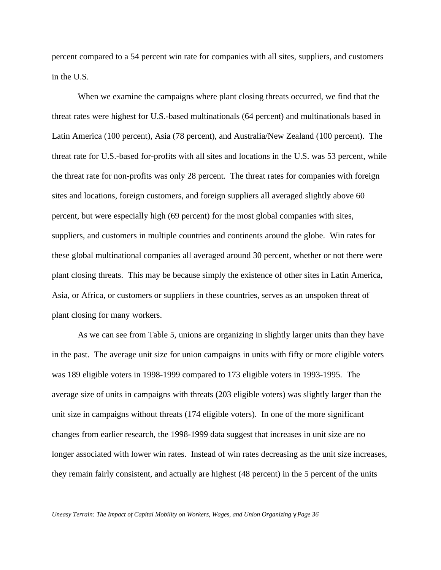percent compared to a 54 percent win rate for companies with all sites, suppliers, and customers in the U.S.

When we examine the campaigns where plant closing threats occurred, we find that the threat rates were highest for U.S.-based multinationals (64 percent) and multinationals based in Latin America (100 percent), Asia (78 percent), and Australia/New Zealand (100 percent). The threat rate for U.S.-based for-profits with all sites and locations in the U.S. was 53 percent, while the threat rate for non-profits was only 28 percent. The threat rates for companies with foreign sites and locations, foreign customers, and foreign suppliers all averaged slightly above 60 percent, but were especially high (69 percent) for the most global companies with sites, suppliers, and customers in multiple countries and continents around the globe. Win rates for these global multinational companies all averaged around 30 percent, whether or not there were plant closing threats. This may be because simply the existence of other sites in Latin America, Asia, or Africa, or customers or suppliers in these countries, serves as an unspoken threat of plant closing for many workers.

As we can see from Table 5, unions are organizing in slightly larger units than they have in the past. The average unit size for union campaigns in units with fifty or more eligible voters was 189 eligible voters in 1998-1999 compared to 173 eligible voters in 1993-1995. The average size of units in campaigns with threats (203 eligible voters) was slightly larger than the unit size in campaigns without threats (174 eligible voters). In one of the more significant changes from earlier research, the 1998-1999 data suggest that increases in unit size are no longer associated with lower win rates. Instead of win rates decreasing as the unit size increases, they remain fairly consistent, and actually are highest (48 percent) in the 5 percent of the units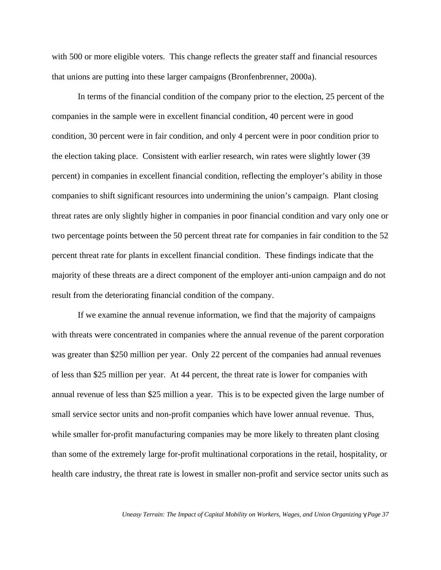with 500 or more eligible voters. This change reflects the greater staff and financial resources that unions are putting into these larger campaigns (Bronfenbrenner, 2000a).

In terms of the financial condition of the company prior to the election, 25 percent of the companies in the sample were in excellent financial condition, 40 percent were in good condition, 30 percent were in fair condition, and only 4 percent were in poor condition prior to the election taking place. Consistent with earlier research, win rates were slightly lower (39 percent) in companies in excellent financial condition, reflecting the employer's ability in those companies to shift significant resources into undermining the union's campaign. Plant closing threat rates are only slightly higher in companies in poor financial condition and vary only one or two percentage points between the 50 percent threat rate for companies in fair condition to the 52 percent threat rate for plants in excellent financial condition. These findings indicate that the majority of these threats are a direct component of the employer anti-union campaign and do not result from the deteriorating financial condition of the company.

If we examine the annual revenue information, we find that the majority of campaigns with threats were concentrated in companies where the annual revenue of the parent corporation was greater than \$250 million per year. Only 22 percent of the companies had annual revenues of less than \$25 million per year. At 44 percent, the threat rate is lower for companies with annual revenue of less than \$25 million a year. This is to be expected given the large number of small service sector units and non-profit companies which have lower annual revenue. Thus, while smaller for-profit manufacturing companies may be more likely to threaten plant closing than some of the extremely large for-profit multinational corporations in the retail, hospitality, or health care industry, the threat rate is lowest in smaller non-profit and service sector units such as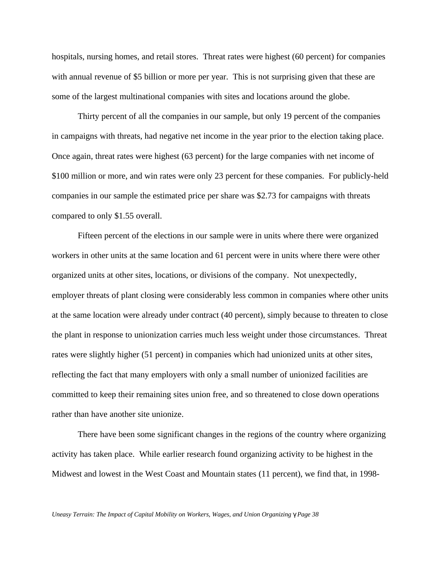hospitals, nursing homes, and retail stores. Threat rates were highest (60 percent) for companies with annual revenue of \$5 billion or more per year. This is not surprising given that these are some of the largest multinational companies with sites and locations around the globe.

Thirty percent of all the companies in our sample, but only 19 percent of the companies in campaigns with threats, had negative net income in the year prior to the election taking place. Once again, threat rates were highest (63 percent) for the large companies with net income of \$100 million or more, and win rates were only 23 percent for these companies. For publicly-held companies in our sample the estimated price per share was \$2.73 for campaigns with threats compared to only \$1.55 overall.

Fifteen percent of the elections in our sample were in units where there were organized workers in other units at the same location and 61 percent were in units where there were other organized units at other sites, locations, or divisions of the company. Not unexpectedly, employer threats of plant closing were considerably less common in companies where other units at the same location were already under contract (40 percent), simply because to threaten to close the plant in response to unionization carries much less weight under those circumstances. Threat rates were slightly higher (51 percent) in companies which had unionized units at other sites, reflecting the fact that many employers with only a small number of unionized facilities are committed to keep their remaining sites union free, and so threatened to close down operations rather than have another site unionize.

There have been some significant changes in the regions of the country where organizing activity has taken place. While earlier research found organizing activity to be highest in the Midwest and lowest in the West Coast and Mountain states (11 percent), we find that, in 1998-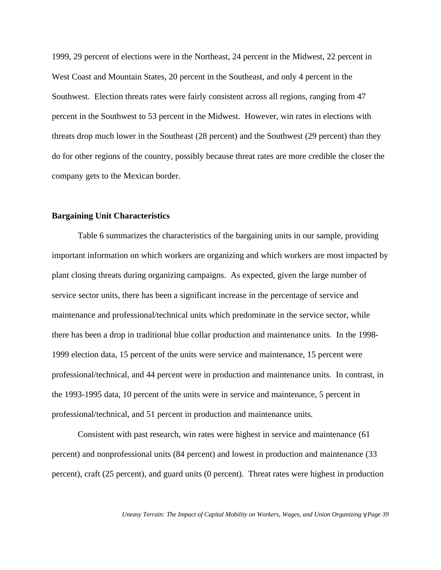1999, 29 percent of elections were in the Northeast, 24 percent in the Midwest, 22 percent in West Coast and Mountain States, 20 percent in the Southeast, and only 4 percent in the Southwest. Election threats rates were fairly consistent across all regions, ranging from 47 percent in the Southwest to 53 percent in the Midwest. However, win rates in elections with threats drop much lower in the Southeast (28 percent) and the Southwest (29 percent) than they do for other regions of the country, possibly because threat rates are more credible the closer the company gets to the Mexican border.

#### **Bargaining Unit Characteristics**

Table 6 summarizes the characteristics of the bargaining units in our sample, providing important information on which workers are organizing and which workers are most impacted by plant closing threats during organizing campaigns. As expected, given the large number of service sector units, there has been a significant increase in the percentage of service and maintenance and professional/technical units which predominate in the service sector, while there has been a drop in traditional blue collar production and maintenance units. In the 1998- 1999 election data, 15 percent of the units were service and maintenance, 15 percent were professional/technical, and 44 percent were in production and maintenance units. In contrast, in the 1993-1995 data, 10 percent of the units were in service and maintenance, 5 percent in professional/technical, and 51 percent in production and maintenance units.

Consistent with past research, win rates were highest in service and maintenance (61 percent) and nonprofessional units (84 percent) and lowest in production and maintenance (33 percent), craft (25 percent), and guard units (0 percent). Threat rates were highest in production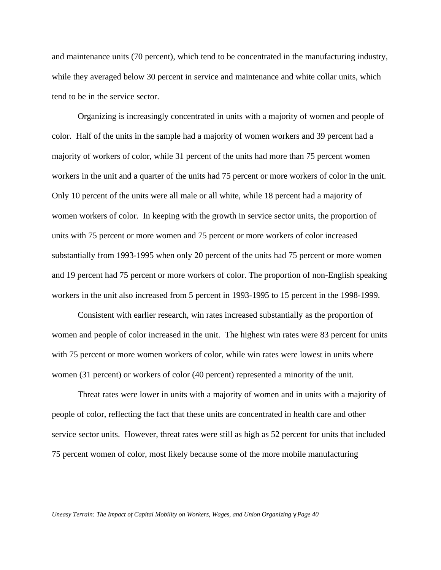and maintenance units (70 percent), which tend to be concentrated in the manufacturing industry, while they averaged below 30 percent in service and maintenance and white collar units, which tend to be in the service sector.

Organizing is increasingly concentrated in units with a majority of women and people of color. Half of the units in the sample had a majority of women workers and 39 percent had a majority of workers of color, while 31 percent of the units had more than 75 percent women workers in the unit and a quarter of the units had 75 percent or more workers of color in the unit. Only 10 percent of the units were all male or all white, while 18 percent had a majority of women workers of color. In keeping with the growth in service sector units, the proportion of units with 75 percent or more women and 75 percent or more workers of color increased substantially from 1993-1995 when only 20 percent of the units had 75 percent or more women and 19 percent had 75 percent or more workers of color. The proportion of non-English speaking workers in the unit also increased from 5 percent in 1993-1995 to 15 percent in the 1998-1999.

Consistent with earlier research, win rates increased substantially as the proportion of women and people of color increased in the unit. The highest win rates were 83 percent for units with 75 percent or more women workers of color, while win rates were lowest in units where women (31 percent) or workers of color (40 percent) represented a minority of the unit.

Threat rates were lower in units with a majority of women and in units with a majority of people of color, reflecting the fact that these units are concentrated in health care and other service sector units. However, threat rates were still as high as 52 percent for units that included 75 percent women of color, most likely because some of the more mobile manufacturing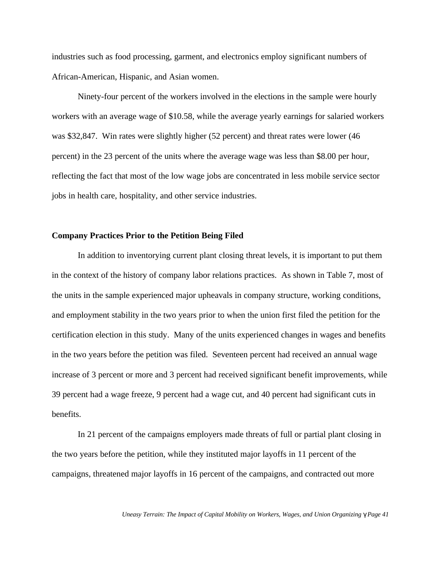industries such as food processing, garment, and electronics employ significant numbers of African-American, Hispanic, and Asian women.

Ninety-four percent of the workers involved in the elections in the sample were hourly workers with an average wage of \$10.58, while the average yearly earnings for salaried workers was \$32,847. Win rates were slightly higher (52 percent) and threat rates were lower (46 percent) in the 23 percent of the units where the average wage was less than \$8.00 per hour, reflecting the fact that most of the low wage jobs are concentrated in less mobile service sector jobs in health care, hospitality, and other service industries.

# **Company Practices Prior to the Petition Being Filed**

In addition to inventorying current plant closing threat levels, it is important to put them in the context of the history of company labor relations practices. As shown in Table 7, most of the units in the sample experienced major upheavals in company structure, working conditions, and employment stability in the two years prior to when the union first filed the petition for the certification election in this study. Many of the units experienced changes in wages and benefits in the two years before the petition was filed. Seventeen percent had received an annual wage increase of 3 percent or more and 3 percent had received significant benefit improvements, while 39 percent had a wage freeze, 9 percent had a wage cut, and 40 percent had significant cuts in benefits.

In 21 percent of the campaigns employers made threats of full or partial plant closing in the two years before the petition, while they instituted major layoffs in 11 percent of the campaigns, threatened major layoffs in 16 percent of the campaigns, and contracted out more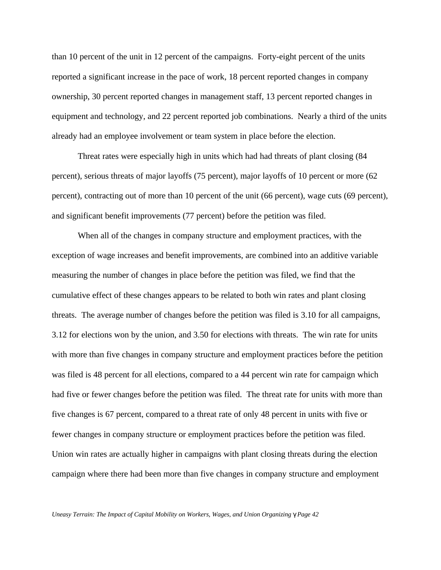than 10 percent of the unit in 12 percent of the campaigns. Forty-eight percent of the units reported a significant increase in the pace of work, 18 percent reported changes in company ownership, 30 percent reported changes in management staff, 13 percent reported changes in equipment and technology, and 22 percent reported job combinations. Nearly a third of the units already had an employee involvement or team system in place before the election.

Threat rates were especially high in units which had had threats of plant closing (84 percent), serious threats of major layoffs (75 percent), major layoffs of 10 percent or more (62 percent), contracting out of more than 10 percent of the unit (66 percent), wage cuts (69 percent), and significant benefit improvements (77 percent) before the petition was filed.

When all of the changes in company structure and employment practices, with the exception of wage increases and benefit improvements, are combined into an additive variable measuring the number of changes in place before the petition was filed, we find that the cumulative effect of these changes appears to be related to both win rates and plant closing threats. The average number of changes before the petition was filed is 3.10 for all campaigns, 3.12 for elections won by the union, and 3.50 for elections with threats. The win rate for units with more than five changes in company structure and employment practices before the petition was filed is 48 percent for all elections, compared to a 44 percent win rate for campaign which had five or fewer changes before the petition was filed. The threat rate for units with more than five changes is 67 percent, compared to a threat rate of only 48 percent in units with five or fewer changes in company structure or employment practices before the petition was filed. Union win rates are actually higher in campaigns with plant closing threats during the election campaign where there had been more than five changes in company structure and employment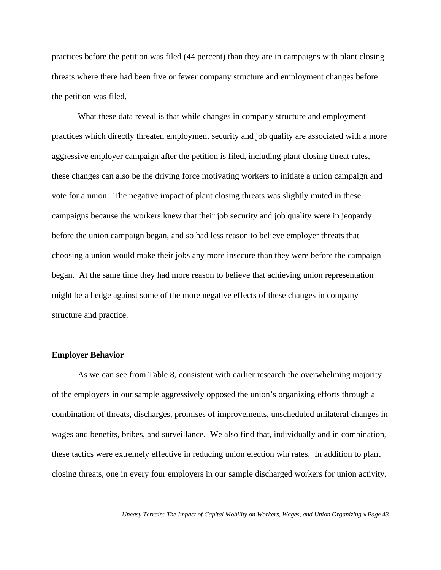practices before the petition was filed (44 percent) than they are in campaigns with plant closing threats where there had been five or fewer company structure and employment changes before the petition was filed.

What these data reveal is that while changes in company structure and employment practices which directly threaten employment security and job quality are associated with a more aggressive employer campaign after the petition is filed, including plant closing threat rates, these changes can also be the driving force motivating workers to initiate a union campaign and vote for a union. The negative impact of plant closing threats was slightly muted in these campaigns because the workers knew that their job security and job quality were in jeopardy before the union campaign began, and so had less reason to believe employer threats that choosing a union would make their jobs any more insecure than they were before the campaign began. At the same time they had more reason to believe that achieving union representation might be a hedge against some of the more negative effects of these changes in company structure and practice.

# **Employer Behavior**

As we can see from Table 8, consistent with earlier research the overwhelming majority of the employers in our sample aggressively opposed the union's organizing efforts through a combination of threats, discharges, promises of improvements, unscheduled unilateral changes in wages and benefits, bribes, and surveillance. We also find that, individually and in combination, these tactics were extremely effective in reducing union election win rates. In addition to plant closing threats, one in every four employers in our sample discharged workers for union activity,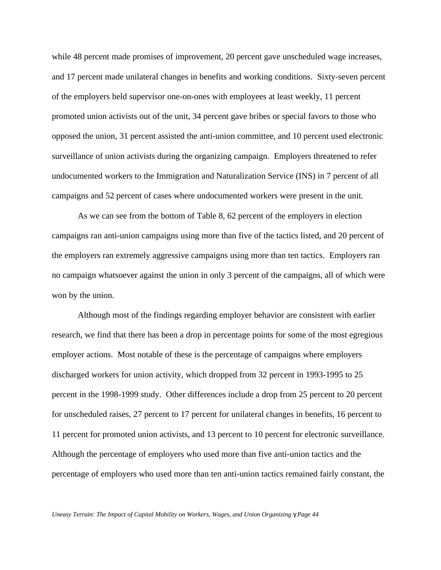while 48 percent made promises of improvement, 20 percent gave unscheduled wage increases, and 17 percent made unilateral changes in benefits and working conditions. Sixty-seven percent of the employers held supervisor one-on-ones with employees at least weekly, 11 percent promoted union activists out of the unit, 34 percent gave bribes or special favors to those who opposed the union, 31 percent assisted the anti-union committee, and 10 percent used electronic surveillance of union activists during the organizing campaign. Employers threatened to refer undocumented workers to the Immigration and Naturalization Service (INS) in 7 percent of all campaigns and 52 percent of cases where undocumented workers were present in the unit.

As we can see from the bottom of Table 8, 62 percent of the employers in election campaigns ran anti-union campaigns using more than five of the tactics listed, and 20 percent of the employers ran extremely aggressive campaigns using more than ten tactics. Employers ran no campaign whatsoever against the union in only 3 percent of the campaigns, all of which were won by the union.

Although most of the findings regarding employer behavior are consistent with earlier research, we find that there has been a drop in percentage points for some of the most egregious employer actions. Most notable of these is the percentage of campaigns where employers discharged workers for union activity, which dropped from 32 percent in 1993-1995 to 25 percent in the 1998-1999 study. Other differences include a drop from 25 percent to 20 percent for unscheduled raises, 27 percent to 17 percent for unilateral changes in benefits, 16 percent to 11 percent for promoted union activists, and 13 percent to 10 percent for electronic surveillance. Although the percentage of employers who used more than five anti-union tactics and the percentage of employers who used more than ten anti-union tactics remained fairly constant, the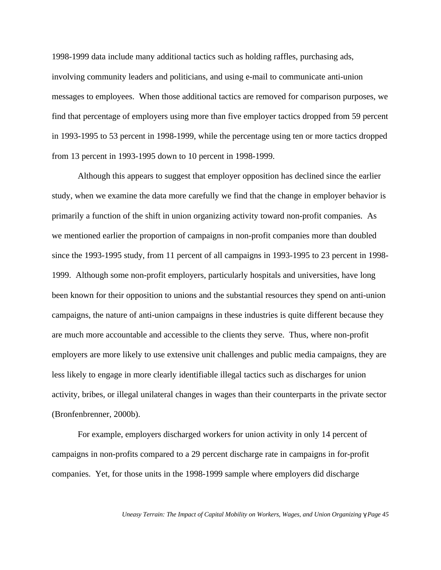1998-1999 data include many additional tactics such as holding raffles, purchasing ads, involving community leaders and politicians, and using e-mail to communicate anti-union messages to employees. When those additional tactics are removed for comparison purposes, we find that percentage of employers using more than five employer tactics dropped from 59 percent in 1993-1995 to 53 percent in 1998-1999, while the percentage using ten or more tactics dropped from 13 percent in 1993-1995 down to 10 percent in 1998-1999.

Although this appears to suggest that employer opposition has declined since the earlier study, when we examine the data more carefully we find that the change in employer behavior is primarily a function of the shift in union organizing activity toward non-profit companies. As we mentioned earlier the proportion of campaigns in non-profit companies more than doubled since the 1993-1995 study, from 11 percent of all campaigns in 1993-1995 to 23 percent in 1998- 1999. Although some non-profit employers, particularly hospitals and universities, have long been known for their opposition to unions and the substantial resources they spend on anti-union campaigns, the nature of anti-union campaigns in these industries is quite different because they are much more accountable and accessible to the clients they serve. Thus, where non-profit employers are more likely to use extensive unit challenges and public media campaigns, they are less likely to engage in more clearly identifiable illegal tactics such as discharges for union activity, bribes, or illegal unilateral changes in wages than their counterparts in the private sector (Bronfenbrenner, 2000b).

For example, employers discharged workers for union activity in only 14 percent of campaigns in non-profits compared to a 29 percent discharge rate in campaigns in for-profit companies. Yet, for those units in the 1998-1999 sample where employers did discharge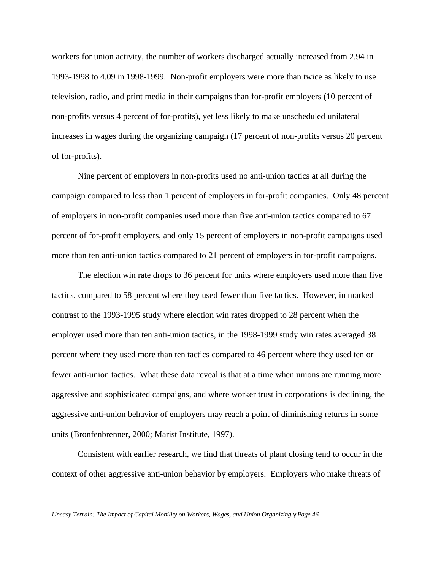workers for union activity, the number of workers discharged actually increased from 2.94 in 1993-1998 to 4.09 in 1998-1999. Non-profit employers were more than twice as likely to use television, radio, and print media in their campaigns than for-profit employers (10 percent of non-profits versus 4 percent of for-profits), yet less likely to make unscheduled unilateral increases in wages during the organizing campaign (17 percent of non-profits versus 20 percent of for-profits).

Nine percent of employers in non-profits used no anti-union tactics at all during the campaign compared to less than 1 percent of employers in for-profit companies. Only 48 percent of employers in non-profit companies used more than five anti-union tactics compared to 67 percent of for-profit employers, and only 15 percent of employers in non-profit campaigns used more than ten anti-union tactics compared to 21 percent of employers in for-profit campaigns.

The election win rate drops to 36 percent for units where employers used more than five tactics, compared to 58 percent where they used fewer than five tactics. However, in marked contrast to the 1993-1995 study where election win rates dropped to 28 percent when the employer used more than ten anti-union tactics, in the 1998-1999 study win rates averaged 38 percent where they used more than ten tactics compared to 46 percent where they used ten or fewer anti-union tactics. What these data reveal is that at a time when unions are running more aggressive and sophisticated campaigns, and where worker trust in corporations is declining, the aggressive anti-union behavior of employers may reach a point of diminishing returns in some units (Bronfenbrenner, 2000; Marist Institute, 1997).

Consistent with earlier research, we find that threats of plant closing tend to occur in the context of other aggressive anti-union behavior by employers. Employers who make threats of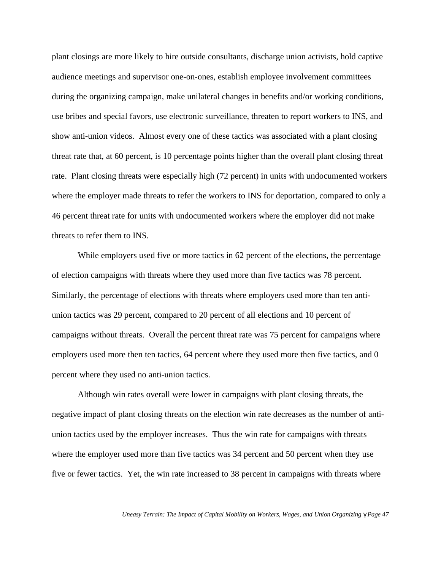plant closings are more likely to hire outside consultants, discharge union activists, hold captive audience meetings and supervisor one-on-ones, establish employee involvement committees during the organizing campaign, make unilateral changes in benefits and/or working conditions, use bribes and special favors, use electronic surveillance, threaten to report workers to INS, and show anti-union videos. Almost every one of these tactics was associated with a plant closing threat rate that, at 60 percent, is 10 percentage points higher than the overall plant closing threat rate. Plant closing threats were especially high (72 percent) in units with undocumented workers where the employer made threats to refer the workers to INS for deportation, compared to only a 46 percent threat rate for units with undocumented workers where the employer did not make threats to refer them to INS.

While employers used five or more tactics in 62 percent of the elections, the percentage of election campaigns with threats where they used more than five tactics was 78 percent. Similarly, the percentage of elections with threats where employers used more than ten antiunion tactics was 29 percent, compared to 20 percent of all elections and 10 percent of campaigns without threats. Overall the percent threat rate was 75 percent for campaigns where employers used more then ten tactics, 64 percent where they used more then five tactics, and 0 percent where they used no anti-union tactics.

Although win rates overall were lower in campaigns with plant closing threats, the negative impact of plant closing threats on the election win rate decreases as the number of antiunion tactics used by the employer increases. Thus the win rate for campaigns with threats where the employer used more than five tactics was 34 percent and 50 percent when they use five or fewer tactics. Yet, the win rate increased to 38 percent in campaigns with threats where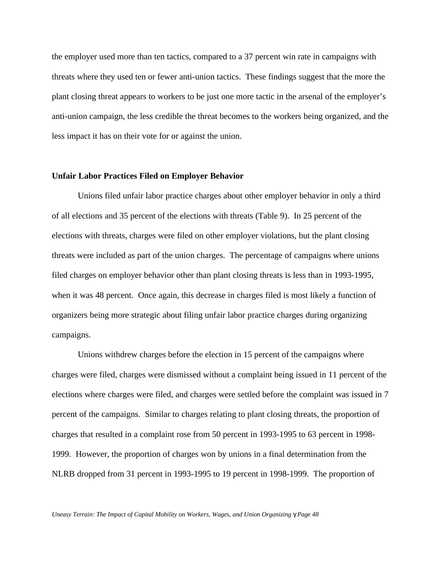the employer used more than ten tactics, compared to a 37 percent win rate in campaigns with threats where they used ten or fewer anti-union tactics. These findings suggest that the more the plant closing threat appears to workers to be just one more tactic in the arsenal of the employer's anti-union campaign, the less credible the threat becomes to the workers being organized, and the less impact it has on their vote for or against the union.

#### **Unfair Labor Practices Filed on Employer Behavior**

Unions filed unfair labor practice charges about other employer behavior in only a third of all elections and 35 percent of the elections with threats (Table 9). In 25 percent of the elections with threats, charges were filed on other employer violations, but the plant closing threats were included as part of the union charges. The percentage of campaigns where unions filed charges on employer behavior other than plant closing threats is less than in 1993-1995, when it was 48 percent. Once again, this decrease in charges filed is most likely a function of organizers being more strategic about filing unfair labor practice charges during organizing campaigns.

Unions withdrew charges before the election in 15 percent of the campaigns where charges were filed, charges were dismissed without a complaint being issued in 11 percent of the elections where charges were filed, and charges were settled before the complaint was issued in 7 percent of the campaigns. Similar to charges relating to plant closing threats, the proportion of charges that resulted in a complaint rose from 50 percent in 1993-1995 to 63 percent in 1998- 1999. However, the proportion of charges won by unions in a final determination from the NLRB dropped from 31 percent in 1993-1995 to 19 percent in 1998-1999. The proportion of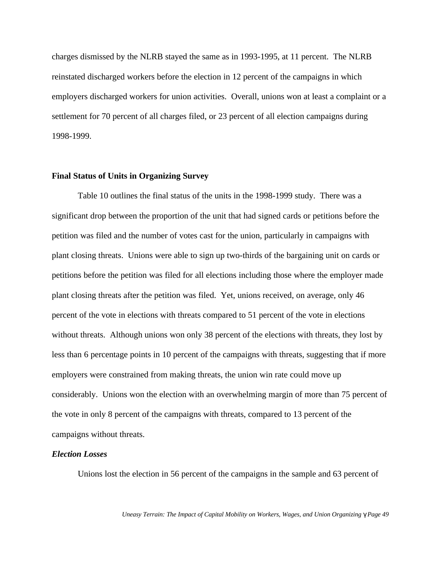charges dismissed by the NLRB stayed the same as in 1993-1995, at 11 percent. The NLRB reinstated discharged workers before the election in 12 percent of the campaigns in which employers discharged workers for union activities. Overall, unions won at least a complaint or a settlement for 70 percent of all charges filed, or 23 percent of all election campaigns during 1998-1999.

## **Final Status of Units in Organizing Survey**

Table 10 outlines the final status of the units in the 1998-1999 study. There was a significant drop between the proportion of the unit that had signed cards or petitions before the petition was filed and the number of votes cast for the union, particularly in campaigns with plant closing threats. Unions were able to sign up two-thirds of the bargaining unit on cards or petitions before the petition was filed for all elections including those where the employer made plant closing threats after the petition was filed. Yet, unions received, on average, only 46 percent of the vote in elections with threats compared to 51 percent of the vote in elections without threats. Although unions won only 38 percent of the elections with threats, they lost by less than 6 percentage points in 10 percent of the campaigns with threats, suggesting that if more employers were constrained from making threats, the union win rate could move up considerably. Unions won the election with an overwhelming margin of more than 75 percent of the vote in only 8 percent of the campaigns with threats, compared to 13 percent of the campaigns without threats.

#### *Election Losses*

Unions lost the election in 56 percent of the campaigns in the sample and 63 percent of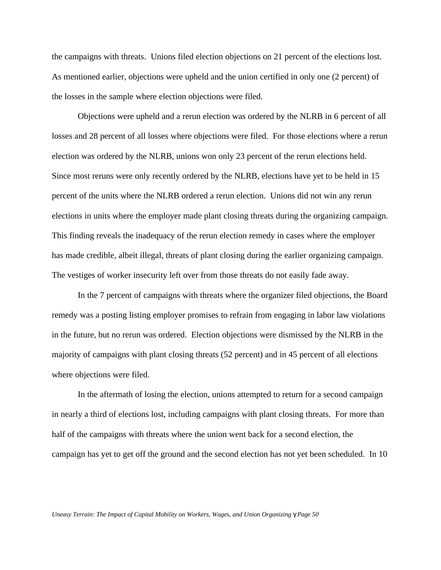the campaigns with threats. Unions filed election objections on 21 percent of the elections lost. As mentioned earlier, objections were upheld and the union certified in only one (2 percent) of the losses in the sample where election objections were filed.

Objections were upheld and a rerun election was ordered by the NLRB in 6 percent of all losses and 28 percent of all losses where objections were filed. For those elections where a rerun election was ordered by the NLRB, unions won only 23 percent of the rerun elections held. Since most reruns were only recently ordered by the NLRB, elections have yet to be held in 15 percent of the units where the NLRB ordered a rerun election. Unions did not win any rerun elections in units where the employer made plant closing threats during the organizing campaign. This finding reveals the inadequacy of the rerun election remedy in cases where the employer has made credible, albeit illegal, threats of plant closing during the earlier organizing campaign. The vestiges of worker insecurity left over from those threats do not easily fade away.

In the 7 percent of campaigns with threats where the organizer filed objections, the Board remedy was a posting listing employer promises to refrain from engaging in labor law violations in the future, but no rerun was ordered. Election objections were dismissed by the NLRB in the majority of campaigns with plant closing threats (52 percent) and in 45 percent of all elections where objections were filed.

In the aftermath of losing the election, unions attempted to return for a second campaign in nearly a third of elections lost, including campaigns with plant closing threats. For more than half of the campaigns with threats where the union went back for a second election, the campaign has yet to get off the ground and the second election has not yet been scheduled. In 10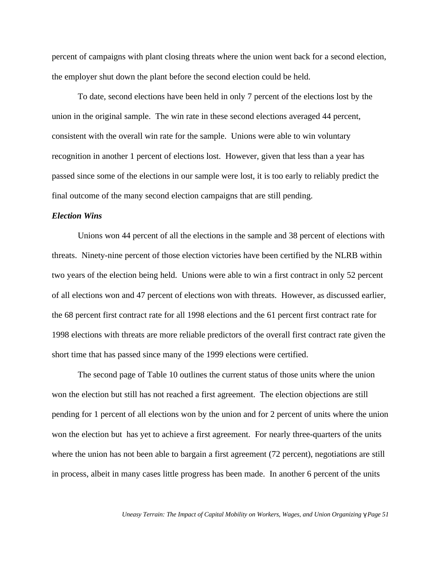percent of campaigns with plant closing threats where the union went back for a second election, the employer shut down the plant before the second election could be held.

To date, second elections have been held in only 7 percent of the elections lost by the union in the original sample. The win rate in these second elections averaged 44 percent, consistent with the overall win rate for the sample. Unions were able to win voluntary recognition in another 1 percent of elections lost. However, given that less than a year has passed since some of the elections in our sample were lost, it is too early to reliably predict the final outcome of the many second election campaigns that are still pending.

#### *Election Wins*

Unions won 44 percent of all the elections in the sample and 38 percent of elections with threats. Ninety-nine percent of those election victories have been certified by the NLRB within two years of the election being held. Unions were able to win a first contract in only 52 percent of all elections won and 47 percent of elections won with threats. However, as discussed earlier, the 68 percent first contract rate for all 1998 elections and the 61 percent first contract rate for 1998 elections with threats are more reliable predictors of the overall first contract rate given the short time that has passed since many of the 1999 elections were certified.

The second page of Table 10 outlines the current status of those units where the union won the election but still has not reached a first agreement. The election objections are still pending for 1 percent of all elections won by the union and for 2 percent of units where the union won the election but has yet to achieve a first agreement. For nearly three-quarters of the units where the union has not been able to bargain a first agreement (72 percent), negotiations are still in process, albeit in many cases little progress has been made. In another 6 percent of the units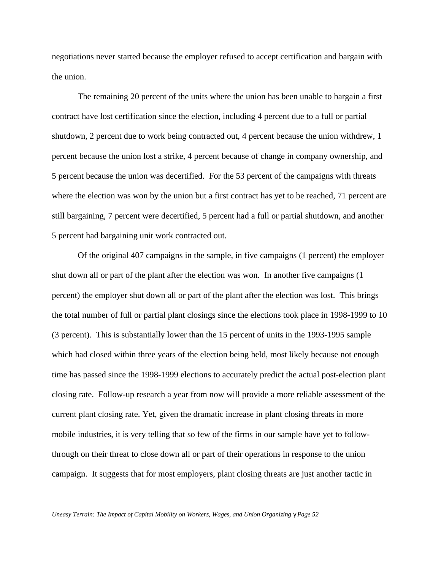negotiations never started because the employer refused to accept certification and bargain with the union.

The remaining 20 percent of the units where the union has been unable to bargain a first contract have lost certification since the election, including 4 percent due to a full or partial shutdown, 2 percent due to work being contracted out, 4 percent because the union withdrew, 1 percent because the union lost a strike, 4 percent because of change in company ownership, and 5 percent because the union was decertified. For the 53 percent of the campaigns with threats where the election was won by the union but a first contract has yet to be reached, 71 percent are still bargaining, 7 percent were decertified, 5 percent had a full or partial shutdown, and another 5 percent had bargaining unit work contracted out.

Of the original 407 campaigns in the sample, in five campaigns (1 percent) the employer shut down all or part of the plant after the election was won. In another five campaigns (1 percent) the employer shut down all or part of the plant after the election was lost. This brings the total number of full or partial plant closings since the elections took place in 1998-1999 to 10 (3 percent). This is substantially lower than the 15 percent of units in the 1993-1995 sample which had closed within three years of the election being held, most likely because not enough time has passed since the 1998-1999 elections to accurately predict the actual post-election plant closing rate. Follow-up research a year from now will provide a more reliable assessment of the current plant closing rate. Yet, given the dramatic increase in plant closing threats in more mobile industries, it is very telling that so few of the firms in our sample have yet to followthrough on their threat to close down all or part of their operations in response to the union campaign. It suggests that for most employers, plant closing threats are just another tactic in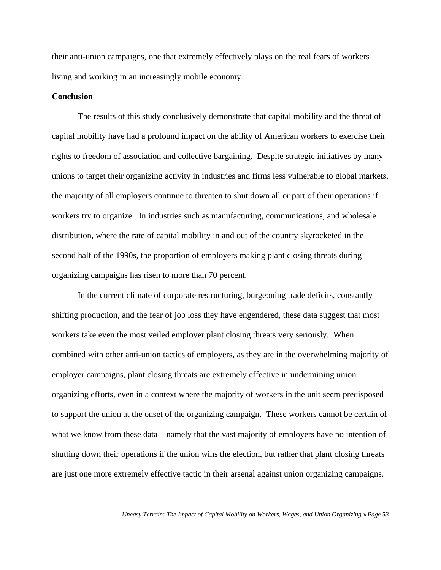their anti-union campaigns, one that extremely effectively plays on the real fears of workers living and working in an increasingly mobile economy.

## **Conclusion**

The results of this study conclusively demonstrate that capital mobility and the threat of capital mobility have had a profound impact on the ability of American workers to exercise their rights to freedom of association and collective bargaining. Despite strategic initiatives by many unions to target their organizing activity in industries and firms less vulnerable to global markets, the majority of all employers continue to threaten to shut down all or part of their operations if workers try to organize. In industries such as manufacturing, communications, and wholesale distribution, where the rate of capital mobility in and out of the country skyrocketed in the second half of the 1990s, the proportion of employers making plant closing threats during organizing campaigns has risen to more than 70 percent.

In the current climate of corporate restructuring, burgeoning trade deficits, constantly shifting production, and the fear of job loss they have engendered, these data suggest that most workers take even the most veiled employer plant closing threats very seriously. When combined with other anti-union tactics of employers, as they are in the overwhelming majority of employer campaigns, plant closing threats are extremely effective in undermining union organizing efforts, even in a context where the majority of workers in the unit seem predisposed to support the union at the onset of the organizing campaign. These workers cannot be certain of what we know from these data – namely that the vast majority of employers have no intention of shutting down their operations if the union wins the election, but rather that plant closing threats are just one more extremely effective tactic in their arsenal against union organizing campaigns.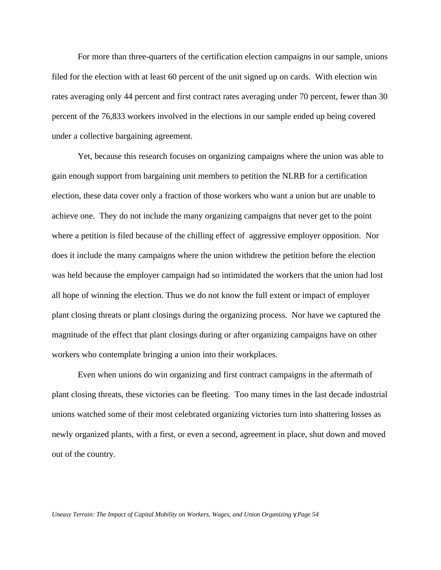For more than three-quarters of the certification election campaigns in our sample, unions filed for the election with at least 60 percent of the unit signed up on cards. With election win rates averaging only 44 percent and first contract rates averaging under 70 percent, fewer than 30 percent of the 76,833 workers involved in the elections in our sample ended up being covered under a collective bargaining agreement.

Yet, because this research focuses on organizing campaigns where the union was able to gain enough support from bargaining unit members to petition the NLRB for a certification election, these data cover only a fraction of those workers who want a union but are unable to achieve one. They do not include the many organizing campaigns that never get to the point where a petition is filed because of the chilling effect of aggressive employer opposition. Nor does it include the many campaigns where the union withdrew the petition before the election was held because the employer campaign had so intimidated the workers that the union had lost all hope of winning the election. Thus we do not know the full extent or impact of employer plant closing threats or plant closings during the organizing process. Nor have we captured the magnitude of the effect that plant closings during or after organizing campaigns have on other workers who contemplate bringing a union into their workplaces.

Even when unions do win organizing and first contract campaigns in the aftermath of plant closing threats, these victories can be fleeting. Too many times in the last decade industrial unions watched some of their most celebrated organizing victories turn into shattering losses as newly organized plants, with a first, or even a second, agreement in place, shut down and moved out of the country.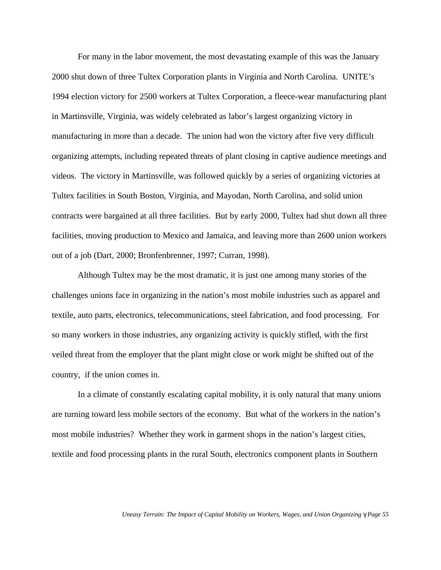For many in the labor movement, the most devastating example of this was the January 2000 shut down of three Tultex Corporation plants in Virginia and North Carolina. UNITE's 1994 election victory for 2500 workers at Tultex Corporation, a fleece-wear manufacturing plant in Martinsville, Virginia, was widely celebrated as labor's largest organizing victory in manufacturing in more than a decade. The union had won the victory after five very difficult organizing attempts, including repeated threats of plant closing in captive audience meetings and videos. The victory in Martinsville, was followed quickly by a series of organizing victories at Tultex facilities in South Boston, Virginia, and Mayodan, North Carolina, and solid union contracts were bargained at all three facilities. But by early 2000, Tultex had shut down all three facilities, moving production to Mexico and Jamaica, and leaving more than 2600 union workers out of a job (Dart, 2000; Bronfenbrenner, 1997; Curran, 1998).

Although Tultex may be the most dramatic, it is just one among many stories of the challenges unions face in organizing in the nation's most mobile industries such as apparel and textile, auto parts, electronics, telecommunications, steel fabrication, and food processing. For so many workers in those industries, any organizing activity is quickly stifled, with the first veiled threat from the employer that the plant might close or work might be shifted out of the country, if the union comes in.

In a climate of constantly escalating capital mobility, it is only natural that many unions are turning toward less mobile sectors of the economy. But what of the workers in the nation's most mobile industries? Whether they work in garment shops in the nation's largest cities, textile and food processing plants in the rural South, electronics component plants in Southern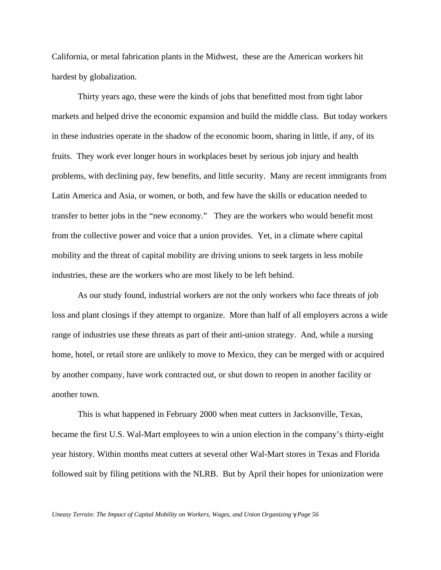California, or metal fabrication plants in the Midwest, these are the American workers hit hardest by globalization.

Thirty years ago, these were the kinds of jobs that benefitted most from tight labor markets and helped drive the economic expansion and build the middle class. But today workers in these industries operate in the shadow of the economic boom, sharing in little, if any, of its fruits. They work ever longer hours in workplaces beset by serious job injury and health problems, with declining pay, few benefits, and little security. Many are recent immigrants from Latin America and Asia, or women, or both, and few have the skills or education needed to transfer to better jobs in the "new economy." They are the workers who would benefit most from the collective power and voice that a union provides. Yet, in a climate where capital mobility and the threat of capital mobility are driving unions to seek targets in less mobile industries, these are the workers who are most likely to be left behind.

As our study found, industrial workers are not the only workers who face threats of job loss and plant closings if they attempt to organize. More than half of all employers across a wide range of industries use these threats as part of their anti-union strategy. And, while a nursing home, hotel, or retail store are unlikely to move to Mexico, they can be merged with or acquired by another company, have work contracted out, or shut down to reopen in another facility or another town.

This is what happened in February 2000 when meat cutters in Jacksonville, Texas, became the first U.S. Wal-Mart employees to win a union election in the company's thirty-eight year history. Within months meat cutters at several other Wal-Mart stores in Texas and Florida followed suit by filing petitions with the NLRB. But by April their hopes for unionization were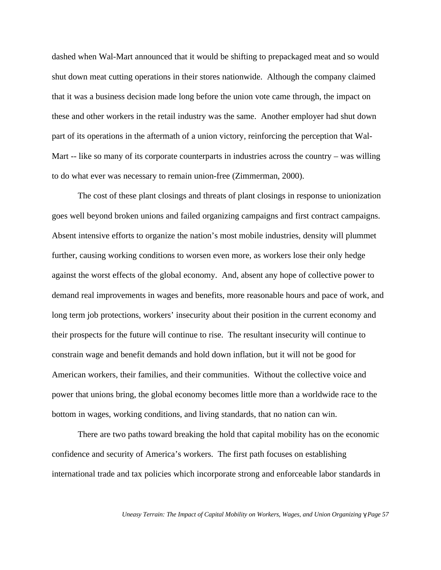dashed when Wal-Mart announced that it would be shifting to prepackaged meat and so would shut down meat cutting operations in their stores nationwide. Although the company claimed that it was a business decision made long before the union vote came through, the impact on these and other workers in the retail industry was the same. Another employer had shut down part of its operations in the aftermath of a union victory, reinforcing the perception that Wal-Mart -- like so many of its corporate counterparts in industries across the country – was willing to do what ever was necessary to remain union-free (Zimmerman, 2000).

The cost of these plant closings and threats of plant closings in response to unionization goes well beyond broken unions and failed organizing campaigns and first contract campaigns. Absent intensive efforts to organize the nation's most mobile industries, density will plummet further, causing working conditions to worsen even more, as workers lose their only hedge against the worst effects of the global economy. And, absent any hope of collective power to demand real improvements in wages and benefits, more reasonable hours and pace of work, and long term job protections, workers' insecurity about their position in the current economy and their prospects for the future will continue to rise. The resultant insecurity will continue to constrain wage and benefit demands and hold down inflation, but it will not be good for American workers, their families, and their communities. Without the collective voice and power that unions bring, the global economy becomes little more than a worldwide race to the bottom in wages, working conditions, and living standards, that no nation can win.

There are two paths toward breaking the hold that capital mobility has on the economic confidence and security of America's workers. The first path focuses on establishing international trade and tax policies which incorporate strong and enforceable labor standards in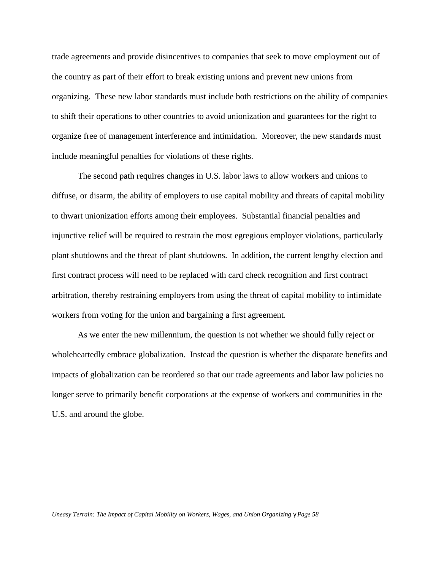trade agreements and provide disincentives to companies that seek to move employment out of the country as part of their effort to break existing unions and prevent new unions from organizing. These new labor standards must include both restrictions on the ability of companies to shift their operations to other countries to avoid unionization and guarantees for the right to organize free of management interference and intimidation. Moreover, the new standards must include meaningful penalties for violations of these rights.

The second path requires changes in U.S. labor laws to allow workers and unions to diffuse, or disarm, the ability of employers to use capital mobility and threats of capital mobility to thwart unionization efforts among their employees. Substantial financial penalties and injunctive relief will be required to restrain the most egregious employer violations, particularly plant shutdowns and the threat of plant shutdowns. In addition, the current lengthy election and first contract process will need to be replaced with card check recognition and first contract arbitration, thereby restraining employers from using the threat of capital mobility to intimidate workers from voting for the union and bargaining a first agreement.

As we enter the new millennium, the question is not whether we should fully reject or wholeheartedly embrace globalization. Instead the question is whether the disparate benefits and impacts of globalization can be reordered so that our trade agreements and labor law policies no longer serve to primarily benefit corporations at the expense of workers and communities in the U.S. and around the globe.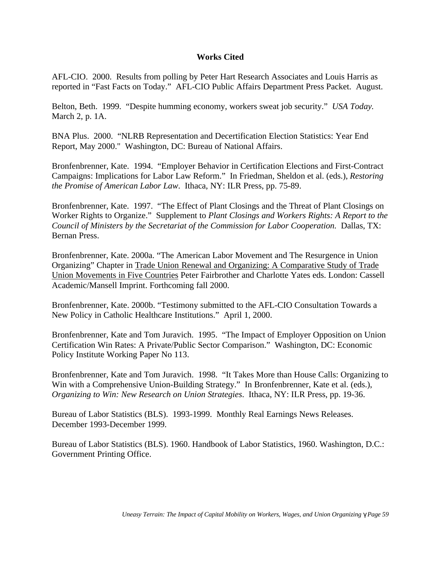# **Works Cited**

AFL-CIO. 2000. Results from polling by Peter Hart Research Associates and Louis Harris as reported in "Fast Facts on Today." AFL-CIO Public Affairs Department Press Packet. August.

Belton, Beth. 1999. "Despite humming economy, workers sweat job security." *USA Today.* March 2, p. 1A.

BNA Plus. 2000. "NLRB Representation and Decertification Election Statistics: Year End Report, May 2000." Washington, DC: Bureau of National Affairs.

Bronfenbrenner, Kate. 1994. "Employer Behavior in Certification Elections and First-Contract Campaigns: Implications for Labor Law Reform." In Friedman, Sheldon et al. (eds.), *Restoring the Promise of American Labor Law*. Ithaca, NY: ILR Press, pp. 75-89.

Bronfenbrenner, Kate. 1997. "The Effect of Plant Closings and the Threat of Plant Closings on Worker Rights to Organize." Supplement to *Plant Closings and Workers Rights: A Report to the Council of Ministers by the Secretariat of the Commission for Labor Cooperation.* Dallas, TX: Bernan Press.

Bronfenbrenner, Kate. 2000a. "The American Labor Movement and The Resurgence in Union Organizing" Chapter in Trade Union Renewal and Organizing: A Comparative Study of Trade Union Movements in Five Countries Peter Fairbrother and Charlotte Yates eds. London: Cassell Academic/Mansell Imprint. Forthcoming fall 2000.

Bronfenbrenner, Kate. 2000b. "Testimony submitted to the AFL-CIO Consultation Towards a New Policy in Catholic Healthcare Institutions." April 1, 2000.

Bronfenbrenner, Kate and Tom Juravich. 1995. "The Impact of Employer Opposition on Union Certification Win Rates: A Private/Public Sector Comparison." Washington, DC: Economic Policy Institute Working Paper No 113.

Bronfenbrenner, Kate and Tom Juravich. 1998. "It Takes More than House Calls: Organizing to Win with a Comprehensive Union-Building Strategy." In Bronfenbrenner, Kate et al. (eds.), *Organizing to Win: New Research on Union Strategies*. Ithaca, NY: ILR Press, pp. 19-36.

Bureau of Labor Statistics (BLS). 1993-1999. Monthly Real Earnings News Releases. December 1993-December 1999.

Bureau of Labor Statistics (BLS). 1960. Handbook of Labor Statistics, 1960. Washington, D.C.: Government Printing Office.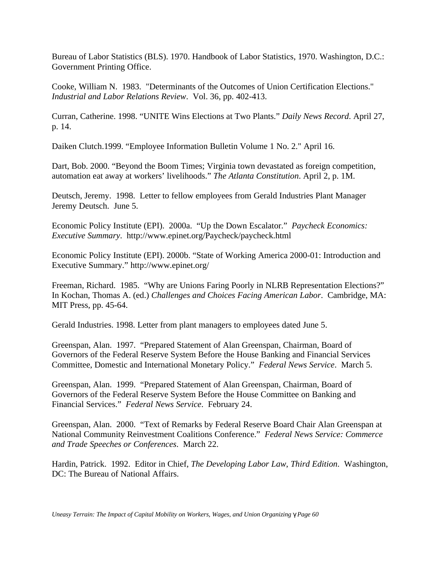Bureau of Labor Statistics (BLS). 1970. Handbook of Labor Statistics, 1970. Washington, D.C.: Government Printing Office.

Cooke, William N. 1983. "Determinants of the Outcomes of Union Certification Elections." *Industrial and Labor Relations Review*. Vol. 36, pp. 402-413.

Curran, Catherine. 1998. "UNITE Wins Elections at Two Plants." *Daily News Record*. April 27, p. 14.

Daiken Clutch.1999. "Employee Information Bulletin Volume 1 No. 2." April 16.

Dart, Bob. 2000. "Beyond the Boom Times; Virginia town devastated as foreign competition, automation eat away at workers' livelihoods." *The Atlanta Constitution*. April 2, p. 1M.

Deutsch, Jeremy. 1998. Letter to fellow employees from Gerald Industries Plant Manager Jeremy Deutsch. June 5.

Economic Policy Institute (EPI). 2000a. "Up the Down Escalator." *Paycheck Economics: Executive Summary*. http://www.epinet.org/Paycheck/paycheck.html

Economic Policy Institute (EPI). 2000b. "State of Working America 2000-01: Introduction and Executive Summary." http://www.epinet.org/

Freeman, Richard. 1985. "Why are Unions Faring Poorly in NLRB Representation Elections?" In Kochan, Thomas A. (ed.) *Challenges and Choices Facing American Labor*. Cambridge, MA: MIT Press, pp. 45-64.

Gerald Industries. 1998. Letter from plant managers to employees dated June 5.

Greenspan, Alan. 1997. "Prepared Statement of Alan Greenspan, Chairman, Board of Governors of the Federal Reserve System Before the House Banking and Financial Services Committee, Domestic and International Monetary Policy." *Federal News Service*. March 5.

Greenspan, Alan. 1999. "Prepared Statement of Alan Greenspan, Chairman, Board of Governors of the Federal Reserve System Before the House Committee on Banking and Financial Services." *Federal News Service*. February 24.

Greenspan, Alan. 2000. "Text of Remarks by Federal Reserve Board Chair Alan Greenspan at National Community Reinvestment Coalitions Conference." *Federal News Service: Commerce and Trade Speeches or Conferences*. March 22.

Hardin, Patrick. 1992. Editor in Chief, *The Developing Labor Law*, *Third Edition*. Washington, DC: The Bureau of National Affairs.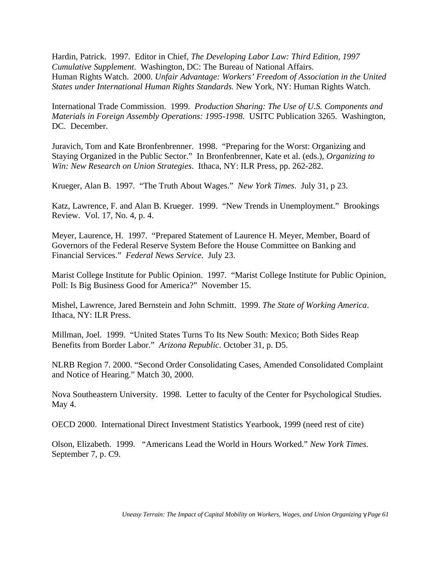Hardin, Patrick. 1997. Editor in Chief, *The Developing Labor Law: Third Edition, 1997 Cumulative Supplement*. Washington, DC: The Bureau of National Affairs. Human Rights Watch. 2000. *Unfair Advantage: Workers' Freedom of Association in the United States under International Human Rights Standards.* New York, NY: Human Rights Watch.

International Trade Commission. 1999. *Production Sharing: The Use of U.S. Components and Materials in Foreign Assembly Operations: 1995-1998*. USITC Publication 3265. Washington, DC. December.

Juravich, Tom and Kate Bronfenbrenner. 1998. "Preparing for the Worst: Organizing and Staying Organized in the Public Sector." In Bronfenbrenner, Kate et al. (eds.), *Organizing to Win: New Research on Union Strategies*. Ithaca, NY: ILR Press, pp. 262-282.

Krueger, Alan B. 1997. "The Truth About Wages." *New York Times*. July 31, p 23.

Katz, Lawrence, F. and Alan B. Krueger. 1999. "New Trends in Unemployment." Brookings Review. Vol. 17, No. 4, p. 4.

Meyer, Laurence, H. 1997. "Prepared Statement of Laurence H. Meyer, Member, Board of Governors of the Federal Reserve System Before the House Committee on Banking and Financial Services." *Federal News Service*. July 23.

Marist College Institute for Public Opinion. 1997. "Marist College Institute for Public Opinion, Poll: Is Big Business Good for America?" November 15.

Mishel, Lawrence, Jared Bernstein and John Schmitt. 1999. *The State of Working America*. Ithaca, NY: ILR Press.

Millman, Joel. 1999. "United States Turns To Its New South: Mexico; Both Sides Reap Benefits from Border Labor." *Arizona Republic*. October 31, p. D5.

NLRB Region 7. 2000. "Second Order Consolidating Cases, Amended Consolidated Complaint and Notice of Hearing." Match 30, 2000.

Nova Southeastern University. 1998. Letter to faculty of the Center for Psychological Studies. May 4.

OECD 2000. International Direct Investment Statistics Yearbook, 1999 (need rest of cite)

Olson, Elizabeth. 1999. "Americans Lead the World in Hours Worked." *New York Times*. September 7, p. C9.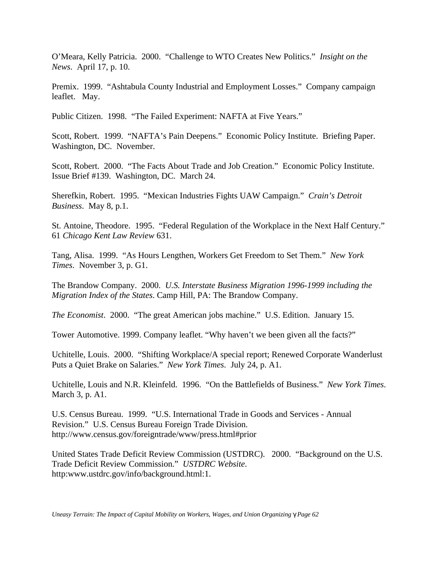O'Meara, Kelly Patricia. 2000. "Challenge to WTO Creates New Politics." *Insight on the News*. April 17, p. 10.

Premix. 1999. "Ashtabula County Industrial and Employment Losses." Company campaign leaflet. May.

Public Citizen. 1998. "The Failed Experiment: NAFTA at Five Years."

Scott, Robert. 1999. "NAFTA's Pain Deepens." Economic Policy Institute. Briefing Paper. Washington, DC. November.

Scott, Robert. 2000. "The Facts About Trade and Job Creation." Economic Policy Institute. Issue Brief #139. Washington, DC. March 24.

Sherefkin, Robert. 1995. "Mexican Industries Fights UAW Campaign." *Crain's Detroit Business*. May 8, p.1.

St. Antoine, Theodore. 1995. "Federal Regulation of the Workplace in the Next Half Century." 61 *Chicago Kent Law Review* 631.

Tang, Alisa. 1999. "As Hours Lengthen, Workers Get Freedom to Set Them." *New York Times*. November 3, p. G1.

The Brandow Company. 2000. *U.S. Interstate Business Migration 1996-1999 including the Migration Index of the States*. Camp Hill, PA: The Brandow Company.

*The Economist*. 2000. "The great American jobs machine." U.S. Edition. January 15.

Tower Automotive. 1999. Company leaflet. "Why haven't we been given all the facts?"

Uchitelle, Louis. 2000. "Shifting Workplace/A special report; Renewed Corporate Wanderlust Puts a Quiet Brake on Salaries." *New York Times*. July 24, p. A1.

Uchitelle, Louis and N.R. Kleinfeld. 1996. "On the Battlefields of Business." *New York Times*. March 3, p. A1.

U.S. Census Bureau. 1999. "U.S. International Trade in Goods and Services - Annual Revision." U.S. Census Bureau Foreign Trade Division. http://www.census.gov/foreigntrade/www/press.html#prior

United States Trade Deficit Review Commission (USTDRC). 2000. "Background on the U.S. Trade Deficit Review Commission." *USTDRC Website*. http:www.ustdrc.gov/info/background.html:1.